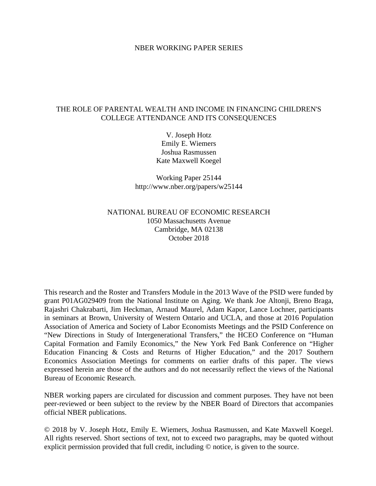#### NBER WORKING PAPER SERIES

### THE ROLE OF PARENTAL WEALTH AND INCOME IN FINANCING CHILDREN'S COLLEGE ATTENDANCE AND ITS CONSEQUENCES

V. Joseph Hotz Emily E. Wiemers Joshua Rasmussen Kate Maxwell Koegel

Working Paper 25144 http://www.nber.org/papers/w25144

### NATIONAL BUREAU OF ECONOMIC RESEARCH 1050 Massachusetts Avenue Cambridge, MA 02138 October 2018

This research and the Roster and Transfers Module in the 2013 Wave of the PSID were funded by grant P01AG029409 from the National Institute on Aging. We thank Joe Altonji, Breno Braga, Rajashri Chakrabarti, Jim Heckman, Arnaud Maurel, Adam Kapor, Lance Lochner, participants in seminars at Brown, University of Western Ontario and UCLA, and those at 2016 Population Association of America and Society of Labor Economists Meetings and the PSID Conference on "New Directions in Study of Intergenerational Transfers," the HCEO Conference on "Human Capital Formation and Family Economics," the New York Fed Bank Conference on "Higher Education Financing & Costs and Returns of Higher Education," and the 2017 Southern Economics Association Meetings for comments on earlier drafts of this paper. The views expressed herein are those of the authors and do not necessarily reflect the views of the National Bureau of Economic Research.

NBER working papers are circulated for discussion and comment purposes. They have not been peer-reviewed or been subject to the review by the NBER Board of Directors that accompanies official NBER publications.

© 2018 by V. Joseph Hotz, Emily E. Wiemers, Joshua Rasmussen, and Kate Maxwell Koegel. All rights reserved. Short sections of text, not to exceed two paragraphs, may be quoted without explicit permission provided that full credit, including © notice, is given to the source.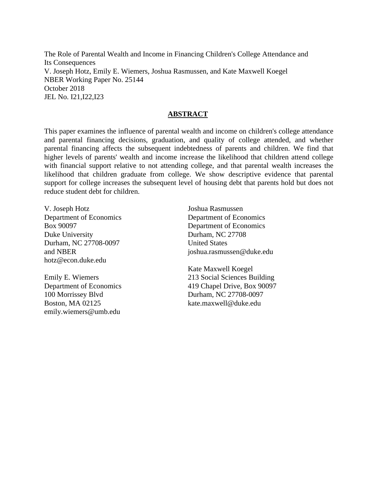The Role of Parental Wealth and Income in Financing Children's College Attendance and Its Consequences V. Joseph Hotz, Emily E. Wiemers, Joshua Rasmussen, and Kate Maxwell Koegel NBER Working Paper No. 25144 October 2018 JEL No. I21,I22,I23

#### **ABSTRACT**

This paper examines the influence of parental wealth and income on children's college attendance and parental financing decisions, graduation, and quality of college attended, and whether parental financing affects the subsequent indebtedness of parents and children. We find that higher levels of parents' wealth and income increase the likelihood that children attend college with financial support relative to not attending college, and that parental wealth increases the likelihood that children graduate from college. We show descriptive evidence that parental support for college increases the subsequent level of housing debt that parents hold but does not reduce student debt for children.

V. Joseph Hotz Department of Economics Box 90097 Duke University Durham, NC 27708-0097 and NBER hotz@econ.duke.edu

Emily E. Wiemers Department of Economics 100 Morrissey Blvd Boston, MA 02125 emily.wiemers@umb.edu

Joshua Rasmussen Department of Economics Department of Economics Durham, NC 27708 United States joshua.rasmussen@duke.edu

Kate Maxwell Koegel 213 Social Sciences Building 419 Chapel Drive, Box 90097 Durham, NC 27708-0097 kate.maxwell@duke.edu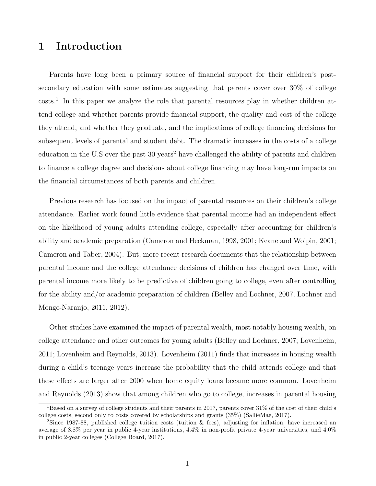# 1 Introduction

Parents have long been a primary source of financial support for their children's postsecondary education with some estimates suggesting that parents cover over 30% of college costs.[1](#page-2-0) In this paper we analyze the role that parental resources play in whether children attend college and whether parents provide financial support, the quality and cost of the college they attend, and whether they graduate, and the implications of college financing decisions for subsequent levels of parental and student debt. The dramatic increases in the costs of a college education in the U.S over the past 30 years<sup>[2](#page-2-1)</sup> have challenged the ability of parents and children to finance a college degree and decisions about college financing may have long-run impacts on the financial circumstances of both parents and children.

Previous research has focused on the impact of parental resources on their children's college attendance. Earlier work found little evidence that parental income had an independent effect on the likelihood of young adults attending college, especially after accounting for children's ability and academic preparation [\(Cameron and Heckman, 1998,](#page-33-0) [2001;](#page-33-1) [Keane and Wolpin, 2001;](#page-34-0) [Cameron and Taber, 2004\)](#page-33-2). But, more recent research documents that the relationship between parental income and the college attendance decisions of children has changed over time, with parental income more likely to be predictive of children going to college, even after controlling for the ability and/or academic preparation of children [\(Belley and Lochner, 2007;](#page-33-3) [Lochner and](#page-34-1) [Monge-Naranjo, 2011,](#page-34-1) [2012\)](#page-34-2).

Other studies have examined the impact of parental wealth, most notably housing wealth, on college attendance and other outcomes for young adults [\(Belley and Lochner, 2007;](#page-33-3) [Lovenheim,](#page-34-3) [2011;](#page-34-3) [Lovenheim and Reynolds, 2013\)](#page-34-4). [Lovenheim](#page-34-3) [\(2011\)](#page-34-3) finds that increases in housing wealth during a child's teenage years increase the probability that the child attends college and that these effects are larger after 2000 when home equity loans became more common. [Lovenheim](#page-34-4) [and Reynolds](#page-34-4) [\(2013\)](#page-34-4) show that among children who go to college, increases in parental housing

<span id="page-2-0"></span><sup>1</sup>Based on a survey of college students and their parents in 2017, parents cover 31% of the cost of their child's college costs, second only to costs covered by scholarships and grants (35%) [\(SallieMae, 2017\)](#page-35-0).

<span id="page-2-1"></span><sup>2</sup>Since 1987-88, published college tuition costs (tuition & fees), adjusting for inflation, have increased an average of 8.8% per year in public 4-year institutions, 4.4% in non-profit private 4-year universities, and 4.0% in public 2-year colleges [\(College Board, 2017\)](#page-34-5).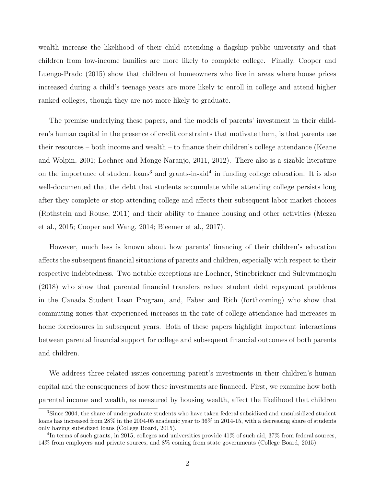wealth increase the likelihood of their child attending a flagship public university and that children from low-income families are more likely to complete college. Finally, [Cooper and](#page-34-6) [Luengo-Prado](#page-34-6) [\(2015\)](#page-34-6) show that children of homeowners who live in areas where house prices increased during a child's teenage years are more likely to enroll in college and attend higher ranked colleges, though they are not more likely to graduate.

The premise underlying these papers, and the models of parents' investment in their children's human capital in the presence of credit constraints that motivate them, is that parents use their resources – both income and wealth – to finance their children's college attendance [\(Keane](#page-34-0) [and Wolpin, 2001;](#page-34-0) [Lochner and Monge-Naranjo, 2011,](#page-34-1) [2012\)](#page-34-2). There also is a sizable literature on the importance of student loans<sup>[3](#page-3-0)</sup> and grants-in-aid<sup>[4](#page-3-1)</sup> in funding college education. It is also well-documented that the debt that students accumulate while attending college persists long after they complete or stop attending college and affects their subsequent labor market choices [\(Rothstein and Rouse, 2011\)](#page-35-1) and their ability to finance housing and other activities [\(Mezza](#page-35-2) [et al., 2015;](#page-35-2) [Cooper and Wang, 2014;](#page-34-7) [Bleemer et al., 2017\)](#page-33-4).

However, much less is known about how parents' financing of their children's education affects the subsequent financial situations of parents and children, especially with respect to their respective indebtedness. Two notable exceptions are [Lochner, Stinebrickner and Suleymanoglu](#page-34-8) [\(2018\)](#page-34-8) who show that parental financial transfers reduce student debt repayment problems in the Canada Student Loan Program, and, [Faber and Rich](#page-34-9) [\(forthcoming\)](#page-34-9) who show that commuting zones that experienced increases in the rate of college attendance had increases in home foreclosures in subsequent years. Both of these papers highlight important interactions between parental financial support for college and subsequent financial outcomes of both parents and children.

We address three related issues concerning parent's investments in their children's human capital and the consequences of how these investments are financed. First, we examine how both parental income and wealth, as measured by housing wealth, affect the likelihood that children

<span id="page-3-0"></span><sup>&</sup>lt;sup>3</sup>Since 2004, the share of undergraduate students who have taken federal subsidized and unsubsidized student loans has increased from 28% in the 2004-05 academic year to 36% in 2014-15, with a decreasing share of students only having subsidized loans [\(College Board, 2015\)](#page-34-10).

<span id="page-3-1"></span><sup>&</sup>lt;sup>4</sup>In terms of such grants, in 2015, colleges and universities provide  $41\%$  of such aid,  $37\%$  from federal sources, 14% from employers and private sources, and 8% coming from state governments [\(College Board, 2015\)](#page-34-10).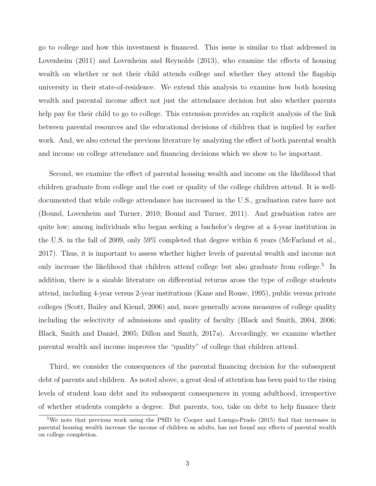go to college and how this investment is financed. This issue is similar to that addressed in [Lovenheim](#page-34-3) [\(2011\)](#page-34-3) and [Lovenheim and Reynolds](#page-34-4) [\(2013\)](#page-34-4), who examine the effects of housing wealth on whether or not their child attends college and whether they attend the flagship university in their state-of-residence. We extend this analysis to examine how both housing wealth and parental income affect not just the attendance decision but also whether parents help pay for their child to go to college. This extension provides an explicit analysis of the link between parental resources and the educational decisions of children that is implied by earlier work. And, we also extend the previous literature by analyzing the effect of both parental wealth and income on college attendance and financing decisions which we show to be important.

Second, we examine the effect of parental housing wealth and income on the likelihood that children graduate from college and the cost or quality of the college children attend. It is welldocumented that while college attendance has increased in the U.S., graduation rates have not [\(Bound, Lovenheim and Turner, 2010;](#page-33-5) [Bound and Turner, 2011\)](#page-33-6). And graduation rates are quite low; among individuals who began seeking a bachelor's degree at a 4-year institution in the U.S. in the fall of 2009, only 59% completed that degree within 6 years [\(McFarland et al.,](#page-35-3) [2017\)](#page-35-3). Thus, it is important to assess whether higher levels of parental wealth and income not only increase the likelihood that children attend college but also graduate from college.<sup>[5](#page-4-0)</sup> In addition, there is a sizable literature on differential returns aross the type of college students attend, including 4-year versus 2-year institutions [\(Kane and Rouse, 1995\)](#page-34-11), public versus private colleges [\(Scott, Bailey and Kienzl, 2006\)](#page-35-4) and, more generally across measures of college quality including the selectivity of admissions and quality of faculty [\(Black and Smith, 2004,](#page-33-7) [2006;](#page-33-8) [Black, Smith and Daniel, 2005;](#page-33-9) [Dillon and Smith, 2017](#page-34-12)a). Accordingly, we examine whether parental wealth and income improves the "quality" of college that children attend.

Third, we consider the consequences of the parental financing decision for the subsequent debt of parents and children. As noted above, a great deal of attention has been paid to the rising levels of student loan debt and its subsequent consequences in young adulthood, irrespective of whether students complete a degree. But parents, too, take on debt to help finance their

<span id="page-4-0"></span><sup>&</sup>lt;sup>5</sup>We note that previous work using the PSID by [Cooper and Luengo-Prado](#page-34-6) [\(2015\)](#page-34-6) find that increases in parental housing wealth increase the income of children as adults, has not found any effects of parental wealth on college completion.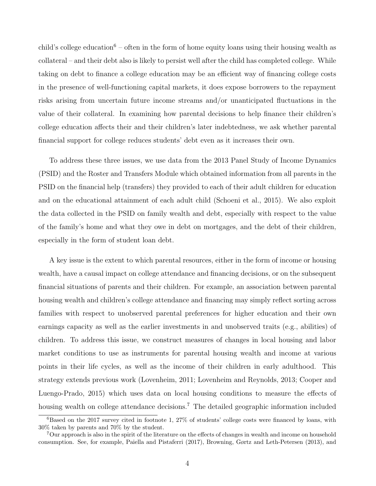child's college education<sup>[6](#page-5-0)</sup> – often in the form of home equity loans using their housing wealth as collateral – and their debt also is likely to persist well after the child has completed college. While taking on debt to finance a college education may be an efficient way of financing college costs in the presence of well-functioning capital markets, it does expose borrowers to the repayment risks arising from uncertain future income streams and/or unanticipated fluctuations in the value of their collateral. In examining how parental decisions to help finance their children's college education affects their and their children's later indebtedness, we ask whether parental financial support for college reduces students' debt even as it increases their own.

To address these three issues, we use data from the 2013 Panel Study of Income Dynamics (PSID) and the Roster and Transfers Module which obtained information from all parents in the PSID on the financial help (transfers) they provided to each of their adult children for education and on the educational attainment of each adult child [\(Schoeni et al., 2015\)](#page-35-5). We also exploit the data collected in the PSID on family wealth and debt, especially with respect to the value of the family's home and what they owe in debt on mortgages, and the debt of their children, especially in the form of student loan debt.

A key issue is the extent to which parental resources, either in the form of income or housing wealth, have a causal impact on college attendance and financing decisions, or on the subsequent financial situations of parents and their children. For example, an association between parental housing wealth and children's college attendance and financing may simply reflect sorting across families with respect to unobserved parental preferences for higher education and their own earnings capacity as well as the earlier investments in and unobserved traits (e.g., abilities) of children. To address this issue, we construct measures of changes in local housing and labor market conditions to use as instruments for parental housing wealth and income at various points in their life cycles, as well as the income of their children in early adulthood. This strategy extends previous work [\(Lovenheim, 2011;](#page-34-3) [Lovenheim and Reynolds, 2013;](#page-34-4) [Cooper and](#page-34-6) [Luengo-Prado, 2015\)](#page-34-6) which uses data on local housing conditions to measure the effects of housing wealth on college attendance decisions.<sup>[7](#page-5-1)</sup> The detailed geographic information included

<span id="page-5-0"></span><sup>6</sup>Based on the 2017 survey cited in footnote [1,](#page-2-0) 27% of students' college costs were financed by loans, with 30% taken by parents and 70% by the student.

<span id="page-5-1"></span><sup>7</sup>Our approach is also in the spirit of the literature on the effects of changes in wealth and income on household consumption. See, for example, [Paiella and Pistaferri](#page-35-6) [\(2017\)](#page-35-6), [Browning, Gørtz and Leth-Petersen](#page-33-10) [\(2013\)](#page-33-10), and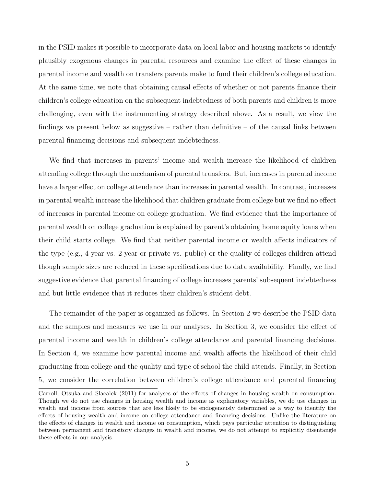in the PSID makes it possible to incorporate data on local labor and housing markets to identify plausibly exogenous changes in parental resources and examine the effect of these changes in parental income and wealth on transfers parents make to fund their children's college education. At the same time, we note that obtaining causal effects of whether or not parents finance their children's college education on the subsequent indebtedness of both parents and children is more challenging, even with the instrumenting strategy described above. As a result, we view the findings we present below as suggestive – rather than definitive – of the causal links between parental financing decisions and subsequent indebtedness.

We find that increases in parents' income and wealth increase the likelihood of children attending college through the mechanism of parental transfers. But, increases in parental income have a larger effect on college attendance than increases in parental wealth. In contrast, increases in parental wealth increase the likelihood that children graduate from college but we find no effect of increases in parental income on college graduation. We find evidence that the importance of parental wealth on college graduation is explained by parent's obtaining home equity loans when their child starts college. We find that neither parental income or wealth affects indicators of the type (e.g., 4-year vs. 2-year or private vs. public) or the quality of colleges children attend though sample sizes are reduced in these specifications due to data availability. Finally, we find suggestive evidence that parental financing of college increases parents' subsequent indebtedness and but little evidence that it reduces their children's student debt.

The remainder of the paper is organized as follows. In Section [2](#page-7-0) we describe the PSID data and the samples and measures we use in our analyses. In Section [3,](#page-12-0) we consider the effect of parental income and wealth in children's college attendance and parental financing decisions. In Section [4,](#page-21-0) we examine how parental income and wealth affects the likelihood of their child graduating from college and the quality and type of school the child attends. Finally, in Section [5,](#page-25-0) we consider the correlation between children's college attendance and parental financing

[Carroll, Otsuka and Slacalek](#page-34-13) [\(2011\)](#page-34-13) for analyses of the effects of changes in housing wealth on consumption. Though we do not use changes in housing wealth and income as explanatory variables, we do use changes in wealth and income from sources that are less likely to be endogenously determined as a way to identify the effects of housing wealth and income on college attendance and financing decisions. Unlike the literature on the effects of changes in wealth and income on consumption, which pays particular attention to distinguishing between permanent and transitory changes in wealth and income, we do not attempt to explicitly disentangle these effects in our analysis.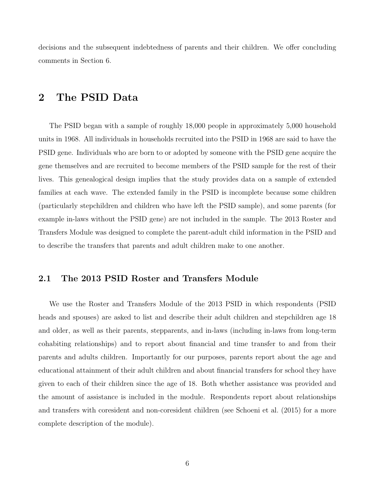decisions and the subsequent indebtedness of parents and their children. We offer concluding comments in Section [6.](#page-31-0)

## <span id="page-7-0"></span>2 The PSID Data

The PSID began with a sample of roughly 18,000 people in approximately 5,000 household units in 1968. All individuals in households recruited into the PSID in 1968 are said to have the PSID gene. Individuals who are born to or adopted by someone with the PSID gene acquire the gene themselves and are recruited to become members of the PSID sample for the rest of their lives. This genealogical design implies that the study provides data on a sample of extended families at each wave. The extended family in the PSID is incomplete because some children (particularly stepchildren and children who have left the PSID sample), and some parents (for example in-laws without the PSID gene) are not included in the sample. The 2013 Roster and Transfers Module was designed to complete the parent-adult child information in the PSID and to describe the transfers that parents and adult children make to one another.

### 2.1 The 2013 PSID Roster and Transfers Module

We use the Roster and Transfers Module of the 2013 PSID in which respondents (PSID heads and spouses) are asked to list and describe their adult children and stepchildren age 18 and older, as well as their parents, stepparents, and in-laws (including in-laws from long-term cohabiting relationships) and to report about financial and time transfer to and from their parents and adults children. Importantly for our purposes, parents report about the age and educational attainment of their adult children and about financial transfers for school they have given to each of their children since the age of 18. Both whether assistance was provided and the amount of assistance is included in the module. Respondents report about relationships and transfers with coresident and non-coresident children (see [Schoeni et al.](#page-35-5) [\(2015\)](#page-35-5) for a more complete description of the module).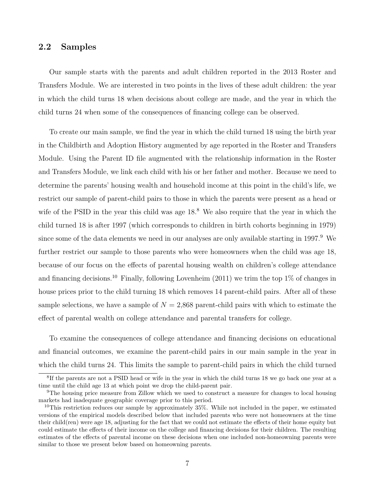### <span id="page-8-3"></span>2.2 Samples

Our sample starts with the parents and adult children reported in the 2013 Roster and Transfers Module. We are interested in two points in the lives of these adult children: the year in which the child turns 18 when decisions about college are made, and the year in which the child turns 24 when some of the consequences of financing college can be observed.

To create our main sample, we find the year in which the child turned 18 using the birth year in the Childbirth and Adoption History augmented by age reported in the Roster and Transfers Module. Using the Parent ID file augmented with the relationship information in the Roster and Transfers Module, we link each child with his or her father and mother. Because we need to determine the parents' housing wealth and household income at this point in the child's life, we restrict our sample of parent-child pairs to those in which the parents were present as a head or wife of the PSID in the year this child was age  $18<sup>8</sup>$  $18<sup>8</sup>$  $18<sup>8</sup>$  We also require that the year in which the child turned 18 is after 1997 (which corresponds to children in birth cohorts beginning in 1979) since some of the data elements we need in our analyses are only available starting in 1[9](#page-8-1)97.<sup>9</sup> We further restrict our sample to those parents who were homeowners when the child was age 18, because of our focus on the effects of parental housing wealth on children's college attendance and financing decisions.<sup>[10](#page-8-2)</sup> Finally, following [Lovenheim](#page-34-3) [\(2011\)](#page-34-3) we trim the top 1\% of changes in house prices prior to the child turning 18 which removes 14 parent-child pairs. After all of these sample selections, we have a sample of  $N = 2,868$  parent-child pairs with which to estimate the effect of parental wealth on college attendance and parental transfers for college.

To examine the consequences of college attendance and financing decisions on educational and financial outcomes, we examine the parent-child pairs in our main sample in the year in which the child turns 24. This limits the sample to parent-child pairs in which the child turned

<span id="page-8-0"></span><sup>&</sup>lt;sup>8</sup>If the parents are not a PSID head or wife in the year in which the child turns 18 we go back one year at a time until the child age 13 at which point we drop the child-parent pair.

<span id="page-8-1"></span><sup>9</sup>The housing price measure from Zillow which we used to construct a measure for changes to local housing markets had inadequate geographic coverage prior to this period.

<span id="page-8-2"></span><sup>&</sup>lt;sup>10</sup>This restriction reduces our sample by approximately 35%. While not included in the paper, we estimated versions of the empirical models described below that included parents who were not homeowners at the time their child(ren) were age 18, adjusting for the fact that we could not estimate the effects of their home equity but could estimate the effects of their income on the college and financing decisions for their children. The resulting estimates of the effects of parental income on these decisions when one included non-homeowning parents were similar to those we present below based on homeowning parents.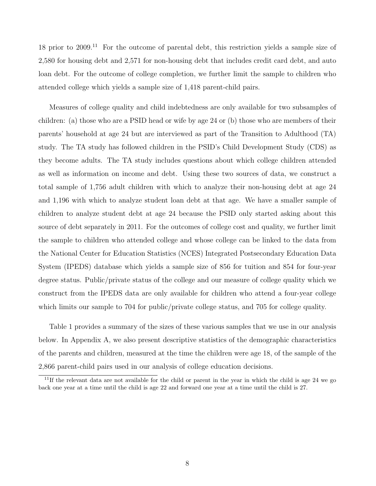18 prior to 2009.[11](#page-9-0) For the outcome of parental debt, this restriction yields a sample size of 2,580 for housing debt and 2,571 for non-housing debt that includes credit card debt, and auto loan debt. For the outcome of college completion, we further limit the sample to children who attended college which yields a sample size of 1,418 parent-child pairs.

Measures of college quality and child indebtedness are only available for two subsamples of children: (a) those who are a PSID head or wife by age 24 or (b) those who are members of their parents' household at age 24 but are interviewed as part of the Transition to Adulthood (TA) study. The TA study has followed children in the PSID's Child Development Study (CDS) as they become adults. The TA study includes questions about which college children attended as well as information on income and debt. Using these two sources of data, we construct a total sample of 1,756 adult children with which to analyze their non-housing debt at age 24 and 1,196 with which to analyze student loan debt at that age. We have a smaller sample of children to analyze student debt at age 24 because the PSID only started asking about this source of debt separately in 2011. For the outcomes of college cost and quality, we further limit the sample to children who attended college and whose college can be linked to the data from the National Center for Education Statistics (NCES) Integrated Postsecondary Education Data System (IPEDS) database which yields a sample size of 856 for tuition and 854 for four-year degree status. Public/private status of the college and our measure of college quality which we construct from the IPEDS data are only available for children who attend a four-year college which limits our sample to 704 for public/private college status, and 705 for college quality.

Table [1](#page-36-0) provides a summary of the sizes of these various samples that we use in our analysis below. In [Appendix A,](#page-44-0) we also present descriptive statistics of the demographic characteristics of the parents and children, measured at the time the children were age 18, of the sample of the 2,866 parent-child pairs used in our analysis of college education decisions.

<span id="page-9-0"></span><sup>&</sup>lt;sup>11</sup>If the relevant data are not available for the child or parent in the year in which the child is age 24 we go back one year at a time until the child is age 22 and forward one year at a time until the child is 27.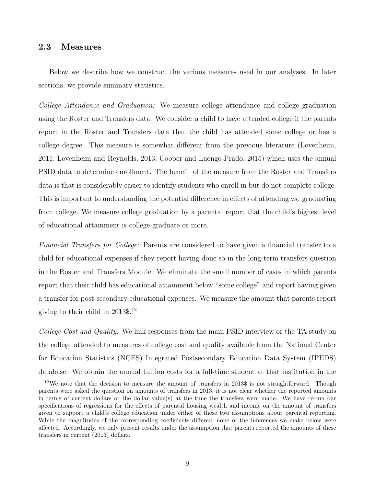### <span id="page-10-1"></span>2.3 Measures

Below we describe how we construct the various measures used in our analyses. In later sections, we provide summary statistics.

College Attendance and Graduation: We measure college attendance and college graduation using the Roster and Transfers data. We consider a child to have attended college if the parents report in the Roster and Transfers data that the child has attended some college or has a college degree. This measure is somewhat different from the previous literature [\(Lovenheim,](#page-34-3) [2011;](#page-34-3) [Lovenheim and Reynolds, 2013;](#page-34-4) [Cooper and Luengo-Prado, 2015\)](#page-34-6) which uses the annual PSID data to determine enrollment. The benefit of the measure from the Roster and Transfers data is that is considerably easier to identify students who enroll in but do not complete college. This is important to understanding the potential difference in effects of attending vs. graduating from college. We measure college graduation by a parental report that the child's highest level of educational attainment is college graduate or more.

Financial Transfers for College: Parents are considered to have given a financial transfer to a child for educational expenses if they report having done so in the long-term transfers question in the Roster and Transfers Module. We eliminate the small number of cases in which parents report that their child has educational attainment below "some college" and report having given a transfer for post-secondary educational expenses. We measure the amount that parents report giving to their child in 2013\$.[12](#page-10-0)

College Cost and Quality: We link responses from the main PSID interview or the TA study on the college attended to measures of college cost and quality available from the National Center for Education Statistics (NCES) Integrated Postsecondary Education Data System (IPEDS) database. We obtain the annual tuition costs for a full-time student at that institution in the

<span id="page-10-0"></span><sup>&</sup>lt;sup>12</sup>We note that the decision to measure the amount of transfers in  $2013\$ \$ is not straightforward. Though parents were asked the question on amounts of transfers in 2013, it is not clear whether the reported amounts in terms of current dollars or the dollar value(s) at the time the transfers were made. We have re-run our specifications of regressions for the effects of parental housing wealth and income on the amount of transfers given to support a child's college education under either of these two assumptions about parental reporting. While the magnitudes of the corresponding coefficients differed, none of the inferences we make below were affected. Accordingly, we only present results under the assumption that parents reported the amounts of these transfers in current (2013) dollars.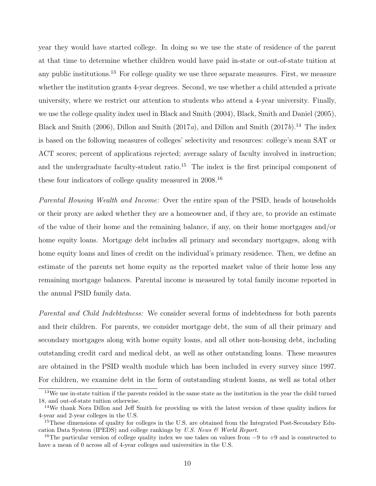year they would have started college. In doing so we use the state of residence of the parent at that time to determine whether children would have paid in-state or out-of-state tuition at any public institutions.<sup>[13](#page-11-0)</sup> For college quality we use three separate measures. First, we measure whether the institution grants 4-year degrees. Second, we use whether a child attended a private university, where we restrict our attention to students who attend a 4-year university. Finally, we use the college quality index used in [Black and Smith](#page-33-7) [\(2004\)](#page-33-7), [Black, Smith and Daniel](#page-33-9) [\(2005\)](#page-33-9), [Black and Smith](#page-33-8) [\(2006\)](#page-33-8), [Dillon and Smith](#page-34-14) [\(2017](#page-34-14)a), and Dillon and Smith (2017b).<sup>[14](#page-11-1)</sup> The index is based on the following measures of colleges' selectivity and resources: college's mean SAT or ACT scores; percent of applications rejected; average salary of faculty involved in instruction; and the undergraduate faculty-student ratio.<sup>[15](#page-11-2)</sup> The index is the first principal component of these four indicators of college quality measured in 2008.[16](#page-11-3)

Parental Housing Wealth and Income: Over the entire span of the PSID, heads of households or their proxy are asked whether they are a homeowner and, if they are, to provide an estimate of the value of their home and the remaining balance, if any, on their home mortgages and/or home equity loans. Mortgage debt includes all primary and secondary mortgages, along with home equity loans and lines of credit on the individual's primary residence. Then, we define an estimate of the parents net home equity as the reported market value of their home less any remaining mortgage balances. Parental income is measured by total family income reported in the annual PSID family data.

Parental and Child Indebtedness: We consider several forms of indebtedness for both parents and their children. For parents, we consider mortgage debt, the sum of all their primary and secondary mortgages along with home equity loans, and all other non-housing debt, including outstanding credit card and medical debt, as well as other outstanding loans. These measures are obtained in the PSID wealth module which has been included in every survey since 1997. For children, we examine debt in the form of outstanding student loans, as well as total other

<span id="page-11-0"></span> $13$ We use in-state tuition if the parents resided in the same state as the institution in the year the child turned 18, and out-of-state tuition otherwise.

<span id="page-11-1"></span><sup>14</sup>We thank Nora Dillon and Jeff Smith for providing us with the latest version of these quality indices for 4-year and 2-year colleges in the U.S.

<span id="page-11-2"></span><sup>&</sup>lt;sup>15</sup>These dimensions of quality for colleges in the U.S. are obtained from the Integrated Post-Secondary Education Data System (IPEDS) and college rankings by U.S. News  $\mathcal{C}$  World Report.

<span id="page-11-3"></span><sup>&</sup>lt;sup>16</sup>The particular version of college quality index we use takes on values from  $-9$  to  $+9$  and is constructed to have a mean of 0 across all of 4-year colleges and universities in the U.S.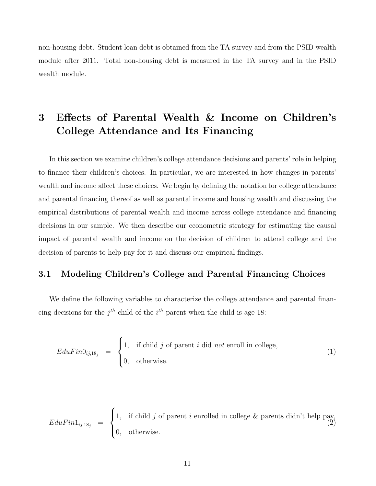non-housing debt. Student loan debt is obtained from the TA survey and from the PSID wealth module after 2011. Total non-housing debt is measured in the TA survey and in the PSID wealth module.

# <span id="page-12-0"></span>3 Effects of Parental Wealth & Income on Children's College Attendance and Its Financing

In this section we examine children's college attendance decisions and parents' role in helping to finance their children's choices. In particular, we are interested in how changes in parents' wealth and income affect these choices. We begin by defining the notation for college attendance and parental financing thereof as well as parental income and housing wealth and discussing the empirical distributions of parental wealth and income across college attendance and financing decisions in our sample. We then describe our econometric strategy for estimating the causal impact of parental wealth and income on the decision of children to attend college and the decision of parents to help pay for it and discuss our empirical findings.

## <span id="page-12-1"></span>3.1 Modeling Children's College and Parental Financing Choices

We define the following variables to characterize the college attendance and parental financing decisions for the  $j<sup>th</sup>$  child of the  $i<sup>th</sup>$  parent when the child is age 18:

$$
EduFin0_{ij,18_j} = \begin{cases} 1, & \text{if child } j \text{ of parent } i \text{ did not enroll in college,} \\ 0, & \text{otherwise.} \end{cases}
$$
 (1)

$$
EduFin1_{ij,18_j} = \begin{cases} 1, & \text{if child } j \text{ of parent } i \text{ enrolled in college } \& \text{parents didn't help pay,} \\ 0, & \text{otherwise.} \end{cases} \tag{2}
$$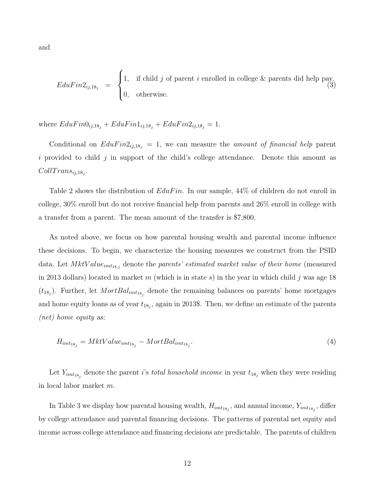and

$$
EduFin2_{ij,18_j} = \begin{cases} 1, & \text{if child } j \text{ of parent } i \text{ enrolled in college } \& \text{parents did help pay,} \\ 0, & \text{otherwise.} \end{cases} \tag{3}
$$

where  $EduFin0_{ij,18_j} + EduFin1_{ij,18_j} + EduFin2_{ij,18_j} = 1.$ 

Conditional on  $EduFin2_{ij,18_j} = 1$ , we can measure the *amount of financial help* parent i provided to child j in support of the child's college attendance. Denote this amount as  $CollTrans_{ij,18_j}.$ 

Table [2](#page-37-0) shows the distribution of  $EduFin$ . In our sample, 44% of children do not enroll in college, 30% enroll but do not receive financial help from parents and 26% enroll in college with a transfer from a parent. The mean amount of the transfer is \$7,800.

As noted above, we focus on how parental housing wealth and parental income influence these decisions. To begin, we characterize the housing measures we construct from the PSID data. Let  $MktValue_{imt_{18,j}}$  denote the parents' estimated market value of their home (measured in 2013 dollars) located in market m (which is in state s) in the year in which child j was age 18  $(t_{18<sub>j</sub>})$ . Further, let  $MortBal_{imt_{18<sub>j</sub>}}$  denote the remaining balances on parents' home mortgages and home equity loans as of year  $t_{18_j}$ , again in 2013\$. Then, we define an estimate of the parents (net) home equity as:

$$
H_{imt_{18_j}} = MktValue_{imt_{18_j}} - MortBal_{imt_{18_j}}.\t\t(4)
$$

Let  $Y_{imt_{18_j}}$  denote the parent *i*'s *total household income* in year  $t_{18_j}$  when they were residing in local labor market m.

In Table [3](#page-38-0) we display how parental housing wealth,  $H_{imt_{18_j}}$ , and annual income,  $Y_{imt_{18_j}}$ , differ by college attendance and parental financing decisions. The patterns of parental net equity and income across college attendance and financing decisions are predictable. The parents of children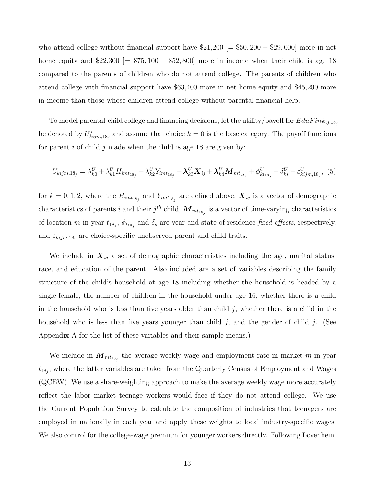who attend college without financial support have  $21,200$  [=  $550,200 - 29,000$ ] more in net home equity and  $22,300$  [=  $575,100 - 552,800$ ] more in income when their child is age 18 compared to the parents of children who do not attend college. The parents of children who attend college with financial support have \$63,400 more in net home equity and \$45,200 more in income than those whose children attend college without parental financial help.

To model parental-child college and financing decisions, let the utility/payoff for  $EduFink_{ij,18j}$ be denoted by  $U^*_{kijm,18_j}$  and assume that choice  $k=0$  is the base category. The payoff functions for parent i of child j made when the child is age 18 are given by:

<span id="page-14-0"></span>
$$
U_{kijm,18_j} = \lambda_{k0}^U + \lambda_{k1}^U H_{imt_{18_j}} + \lambda_{k2}^U Y_{imt_{18_j}} + \lambda_{k3}^U \mathbf{X}_{ij} + \lambda_{k4}^U \mathbf{M}_{mt_{18_j}} + \phi_{kt_{18_j}}^U + \delta_{ks}^U + \varepsilon_{kijm,18_j}^U, \tag{5}
$$

for  $k = 0, 1, 2$ , where the  $H_{imt_{18_j}}$  and  $Y_{imt_{18_j}}$  are defined above,  $\boldsymbol{X}_{ij}$  is a vector of demographic characteristics of parents i and their  $j^{th}$  child,  $\boldsymbol{M}_{mt_{18_j}}$  is a vector of time-varying characteristics of location m in year  $t_{18_j}$ ,  $\phi_{t_{18_j}}$  and  $\delta_s$  are year and state-of-residence fixed effects, respectively, and  $\varepsilon_{kijm,18t}$  are choice-specific unobserved parent and child traits.

We include in  $X_{ij}$  a set of demographic characteristics including the age, marital status, race, and education of the parent. Also included are a set of variables describing the family structure of the child's household at age 18 including whether the household is headed by a single-female, the number of children in the household under age 16, whether there is a child in the household who is less than five years older than child  $j$ , whether there is a child in the household who is less than five years younger than child  $j$ , and the gender of child  $j$ . (See [Appendix A](#page-44-0) for the list of these variables and their sample means.)

We include in  $\mathbf{M}_{mt_{18_j}}$  the average weekly wage and employment rate in market m in year  $t_{18_j}$ , where the latter variables are taken from the Quarterly Census of Employment and Wages (QCEW). We use a share-weighting approach to make the average weekly wage more accurately reflect the labor market teenage workers would face if they do not attend college. We use the Current Population Survey to calculate the composition of industries that teenagers are employed in nationally in each year and apply these weights to local industry-specific wages. We also control for the college-wage premium for younger workers directly. Following [Lovenheim](#page-34-4)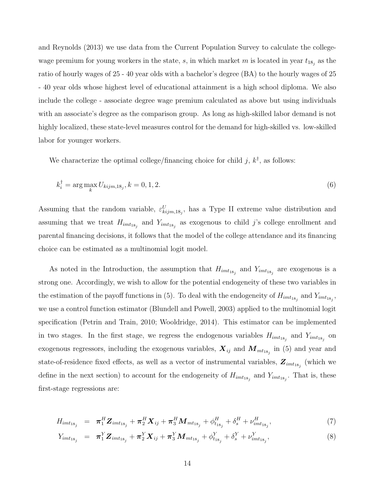[and Reynolds](#page-34-4) [\(2013\)](#page-34-4) we use data from the Current Population Survey to calculate the collegewage premium for young workers in the state, s, in which market m is located in year  $t_{18_j}$  as the ratio of hourly wages of 25 - 40 year olds with a bachelor's degree (BA) to the hourly wages of 25 - 40 year olds whose highest level of educational attainment is a high school diploma. We also include the college - associate degree wage premium calculated as above but using individuals with an associate's degree as the comparison group. As long as high-skilled labor demand is not highly localized, these state-level measures control for the demand for high-skilled vs. low-skilled labor for younger workers.

We characterize the optimal college/financing choice for child j,  $k^{\dagger}$ , as follows:

$$
k_i^{\dagger} = \arg\max_k U_{kijm,18_j}, k = 0, 1, 2.
$$
\n(6)

Assuming that the random variable,  $\varepsilon_{kijm,18j}^U$ , has a Type II extreme value distribution and assuming that we treat  $H_{imt_{18_j}}$  and  $Y_{imt_{18_j}}$  as exogenous to child j's college enrollment and parental financing decisions, it follows that the model of the college attendance and its financing choice can be estimated as a multinomial logit model.

As noted in the Introduction, the assumption that  $H_{imt_{18_j}}$  and  $Y_{imt_{18_j}}$  are exogenous is a strong one. Accordingly, we wish to allow for the potential endogeneity of these two variables in the estimation of the payoff functions in [\(5\)](#page-14-0). To deal with the endogeneity of  $H_{imt_{18_j}}$  and  $Y_{imt_{18_j}}$ , we use a control function estimator [\(Blundell and Powell, 2003\)](#page-33-11) applied to the multinomial logit specification [\(Petrin and Train, 2010;](#page-35-7) [Wooldridge, 2014\)](#page-35-8). This estimator can be implemented in two stages. In the first stage, we regress the endogenous variables  $H_{imt_{18_j}}$  and  $Y_{imt_{18_j}}$  on exogenous regressors, including the exogenous variables,  $X_{ij}$  and  $M_{mt_{18_j}}$  in [\(5\)](#page-14-0) and year and state-of-residence fixed effects, as well as a vector of instrumental variables,  $\boldsymbol{Z}_{imt_{18_j}}$  (which we define in the next section) to account for the endogeneity of  $H_{imt_{18_j}}$  and  $Y_{imt_{18_j}}$ . That is, these first-stage regressions are:

<span id="page-15-0"></span>
$$
H_{imt_{18_j}} = \pi_1^H \mathbf{Z}_{imt_{18_j}} + \pi_2^H \mathbf{X}_{ij} + \pi_3^H \mathbf{M}_{mt_{18_j}} + \phi_{t_{18_j}}^H + \delta_s^H + \nu_{imt_{18_j}}^H,
$$
\n(7)

$$
Y_{imt_{18_j}} = \pi_1^Y \mathbf{Z}_{imt_{18_j}} + \pi_2^Y \mathbf{X}_{ij} + \pi_3^Y \mathbf{M}_{mt_{18_j}} + \phi_{t_{18_j}}^Y + \delta_s^Y + \nu_{imt_{18_j}}^Y,
$$
\n(8)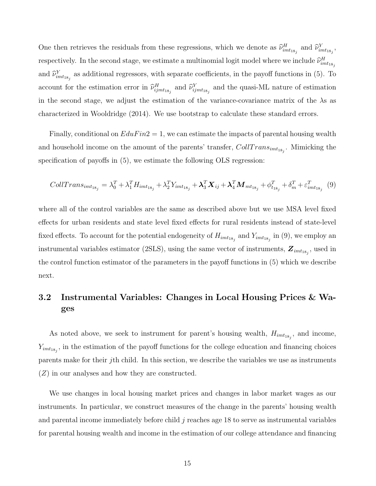One then retrieves the residuals from these regressions, which we denote as  $\hat{\nu}_{imt_{18_j}}^H$  and  $\hat{\nu}_{imt_{18_j}}^Y$ , respectively. In the second stage, we estimate a multinomial logit model where we include  $\widehat{\nu}^H_{imt_{18_j}}$ and  $\hat{\nu}_{imt_{18_j}}^Y$  as additional regressors, with separate coefficients, in the payoff functions in [\(5\)](#page-14-0). To account for the estimation error in  $\hat{\nu}_{ijm t_{18_j}}^H$  and  $\hat{\nu}_{ijm t_{18_j}}^Y$  and the quasi-ML nature of estimation in the second stage, we adjust the estimation of the variance-covariance matrix of the  $\lambda$ s as characterized in [Wooldridge](#page-35-8) [\(2014\)](#page-35-8). We use bootstrap to calculate these standard errors.

Finally, conditional on  $EduFin2 = 1$ , we can estimate the impacts of parental housing wealth and household income on the amount of the parents' transfer,  $CollTrans_{imt_{18_j}}$ . Mimicking the specification of payoffs in [\(5\)](#page-14-0), we estimate the following OLS regression:

<span id="page-16-0"></span>
$$
CollTrans_{imt_{18_{j}}} = \lambda_{0}^{T} + \lambda_{1}^{T} H_{imt_{18_{j}}} + \lambda_{2}^{T} Y_{imt_{18_{j}}} + \mathbf{\lambda}_{3}^{T} \mathbf{X}_{ij} + \mathbf{\lambda}_{4}^{T} \mathbf{M}_{mt_{18_{j}}} + \phi_{t_{18_{j}}}^{T} + \delta_{m}^{T} + \varepsilon_{imt_{18_{j}}}^{T}
$$
(9)

where all of the control variables are the same as described above but we use MSA level fixed effects for urban residents and state level fixed effects for rural residents instead of state-level fixed effects. To account for the potential endogeneity of  $H_{imt_{18_j}}$  and  $Y_{imt_{18_j}}$  in [\(9\)](#page-16-0), we employ an instrumental variables estimator (2SLS), using the same vector of instruments,  $\boldsymbol{Z}_{imt_{18_j}}$ , used in the control function estimator of the parameters in the payoff functions in [\(5\)](#page-14-0) which we describe next.

## <span id="page-16-1"></span>3.2 Instrumental Variables: Changes in Local Housing Prices & Wages

As noted above, we seek to instrument for parent's housing wealth,  $H_{imt_{18_j}}$ , and income,  $Y_{imt_{18_j}}$ , in the estimation of the payoff functions for the college education and financing choices parents make for their jth child. In this section, we describe the variables we use as instruments (Z) in our analyses and how they are constructed.

We use changes in local housing market prices and changes in labor market wages as our instruments. In particular, we construct measures of the change in the parents' housing wealth and parental income immediately before child j reaches age 18 to serve as instrumental variables for parental housing wealth and income in the estimation of our college attendance and financing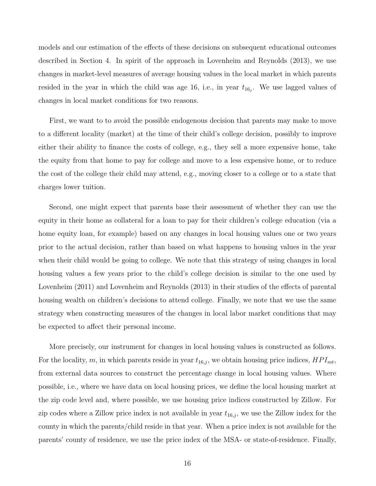models and our estimation of the effects of these decisions on subsequent educational outcomes described in Section [4.](#page-21-0) In spirit of the approach in [Lovenheim and Reynolds](#page-34-4) [\(2013\)](#page-34-4), we use changes in market-level measures of average housing values in the local market in which parents resided in the year in which the child was age 16, i.e., in year  $t_{16_j}$ . We use lagged values of changes in local market conditions for two reasons.

First, we want to to avoid the possible endogenous decision that parents may make to move to a different locality (market) at the time of their child's college decision, possibly to improve either their ability to finance the costs of college, e.g., they sell a more expensive home, take the equity from that home to pay for college and move to a less expensive home, or to reduce the cost of the college their child may attend, e.g., moving closer to a college or to a state that charges lower tuition.

Second, one might expect that parents base their assessment of whether they can use the equity in their home as collateral for a loan to pay for their children's college education (via a home equity loan, for example) based on any changes in local housing values one or two years prior to the actual decision, rather than based on what happens to housing values in the year when their child would be going to college. We note that this strategy of using changes in local housing values a few years prior to the child's college decision is similar to the one used by [Lovenheim](#page-34-3) [\(2011\)](#page-34-3) and [Lovenheim and Reynolds](#page-34-4) [\(2013\)](#page-34-4) in their studies of the effects of parental housing wealth on children's decisions to attend college. Finally, we note that we use the same strategy when constructing measures of the changes in local labor market conditions that may be expected to affect their personal income.

More precisely, our instrument for changes in local housing values is constructed as follows. For the locality, m, in which parents reside in year  $t_{16,j}$ , we obtain housing price indices,  $HPI_{mt}$ , from external data sources to construct the percentage change in local housing values. Where possible, i.e., where we have data on local housing prices, we define the local housing market at the zip code level and, where possible, we use housing price indices constructed by Zillow. For zip codes where a Zillow price index is not available in year  $t_{16,j}$ , we use the Zillow index for the county in which the parents/child reside in that year. When a price index is not available for the parents' county of residence, we use the price index of the MSA- or state-of-residence. Finally,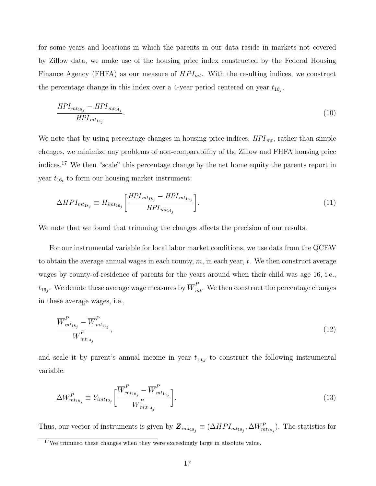for some years and locations in which the parents in our data reside in markets not covered by Zillow data, we make use of the housing price index constructed by the Federal Housing Finance Agency (FHFA) as our measure of  $HPI_{mt}$ . With the resulting indices, we construct the percentage change in this index over a 4-year period centered on year  $t_{16_j}$ ,

$$
\frac{HPI_{mt_{18_j}} - HPI_{mt_{14_j}}}{HPI_{mt_{14_j}}}.\tag{10}
$$

We note that by using percentage changes in housing price indices,  $HPI_{mt}$ , rather than simple changes, we minimize any problems of non-comparability of the Zillow and FHFA housing price indices.[17](#page-18-0) We then "scale" this percentage change by the net home equity the parents report in year  $t_{16t}$  to form our housing market instrument:

$$
\Delta HPI_{mt_{18_j}} \equiv H_{imt_{16_j}} \left[ \frac{HPI_{mt_{18_j}} - HPI_{mt_{14_j}}}{HPI_{mt_{14_j}}} \right]. \tag{11}
$$

We note that we found that trimming the changes affects the precision of our results.

For our instrumental variable for local labor market conditions, we use data from the QCEW to obtain the average annual wages in each county,  $m$ , in each year,  $t$ . We then construct average wages by county-of-residence of parents for the years around when their child was age 16, i.e.,  $t_{16_j}.$  We denote these average wage measures by  $\overline{W}^P_{mt}.$  We then construct the percentage changes in these average wages, i.e.,

$$
\frac{\overline{W}_{mt_{18_j}}^P - \overline{W}_{mt_{14_j}}^P}{\overline{W}_{mt_{14_j}}^P},\tag{12}
$$

and scale it by parent's annual income in year  $t_{16,j}$  to construct the following instrumental variable:

$$
\Delta W_{mt_{18_j}}^P \equiv Y_{imt_{16_j}} \left[ \frac{\overline{W}_{mt_{18_j}}^P - \overline{W}_{mt_{14_j}}^P}{\overline{W}_{m,t_{14_j}}^P} \right].
$$
\n(13)

Thus, our vector of instruments is given by  $\bm{Z}_{imt_{18_j}} \equiv (\Delta HPI_{mt_{18_j}}, \Delta W_{mt_{18_j}}^P)$ . The statistics for

<span id="page-18-0"></span> $17$ We trimmed these changes when they were exceedingly large in absolute value.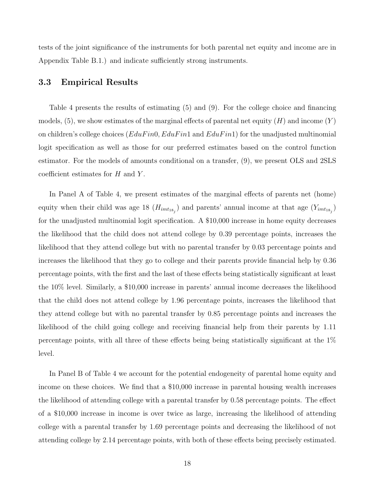tests of the joint significance of the instruments for both parental net equity and income are in Appendix Table [B.1.](#page-45-0)) and indicate sufficiently strong instruments.

### <span id="page-19-0"></span>3.3 Empirical Results

Table [4](#page-39-0) presents the results of estimating [\(5\)](#page-14-0) and [\(9\)](#page-16-0). For the college choice and financing models, [\(5\)](#page-14-0), we show estimates of the marginal effects of parental net equity  $(H)$  and income  $(Y)$ on children's college choices ( $EduFin$ ,  $EduFin$  and  $EduFin$ ) for the unadjusted multinomial logit specification as well as those for our preferred estimates based on the control function estimator. For the models of amounts conditional on a transfer, [\(9\)](#page-16-0), we present OLS and 2SLS coefficient estimates for  $H$  and  $Y$ .

In Panel A of Table [4,](#page-39-0) we present estimates of the marginal effects of parents net (home) equity when their child was age 18  $(H_{imt_{18_j}})$  and parents' annual income at that age  $(Y_{imt_{18_j}})$ for the unadjusted multinomial logit specification. A \$10,000 increase in home equity decreases the likelihood that the child does not attend college by 0.39 percentage points, increases the likelihood that they attend college but with no parental transfer by 0.03 percentage points and increases the likelihood that they go to college and their parents provide financial help by 0.36 percentage points, with the first and the last of these effects being statistically significant at least the 10% level. Similarly, a \$10,000 increase in parents' annual income decreases the likelihood that the child does not attend college by 1.96 percentage points, increases the likelihood that they attend college but with no parental transfer by 0.85 percentage points and increases the likelihood of the child going college and receiving financial help from their parents by 1.11 percentage points, with all three of these effects being being statistically significant at the 1% level.

In Panel B of Table [4](#page-39-0) we account for the potential endogeneity of parental home equity and income on these choices. We find that a \$10,000 increase in parental housing wealth increases the likelihood of attending college with a parental transfer by 0.58 percentage points. The effect of a \$10,000 increase in income is over twice as large, increasing the likelihood of attending college with a parental transfer by 1.69 percentage points and decreasing the likelihood of not attending college by 2.14 percentage points, with both of these effects being precisely estimated.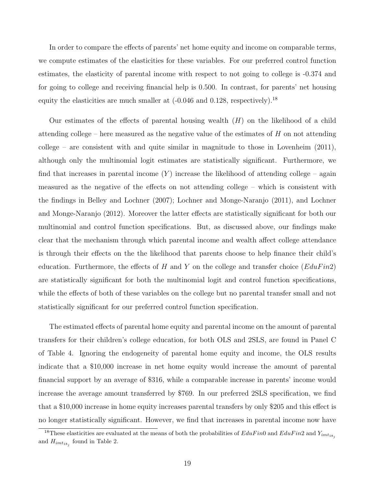In order to compare the effects of parents' net home equity and income on comparable terms, we compute estimates of the elasticities for these variables. For our preferred control function estimates, the elasticity of parental income with respect to not going to college is -0.374 and for going to college and receiving financial help is 0.500. In contrast, for parents' net housing equity the elasticities are much smaller at  $(-0.046$  and  $0.128$ , respectively).<sup>[18](#page-20-0)</sup>

Our estimates of the effects of parental housing wealth  $(H)$  on the likelihood of a child attending college – here measured as the negative value of the estimates of  $H$  on not attending college – are consistent with and quite similar in magnitude to those in [Lovenheim](#page-34-3)  $(2011)$ , although only the multinomial logit estimates are statistically significant. Furthermore, we find that increases in parental income  $(Y)$  increase the likelihood of attending college – again measured as the negative of the effects on not attending college – which is consistent with the findings in [Belley and Lochner](#page-33-3) [\(2007\)](#page-33-3); [Lochner and Monge-Naranjo](#page-34-1) [\(2011\)](#page-34-1), and [Lochner](#page-34-2) [and Monge-Naranjo](#page-34-2) [\(2012\)](#page-34-2). Moreover the latter effects are statistically significant for both our multinomial and control function specifications. But, as discussed above, our findings make clear that the mechanism through which parental income and wealth affect college attendance is through their effects on the the likelihood that parents choose to help finance their child's education. Furthermore, the effects of H and Y on the college and transfer choice  $(EduFin2)$ are statistically significant for both the multinomial logit and control function specifications, while the effects of both of these variables on the college but no parental transfer small and not statistically significant for our preferred control function specification.

The estimated effects of parental home equity and parental income on the amount of parental transfers for their children's college education, for both OLS and 2SLS, are found in Panel C of Table [4.](#page-39-0) Ignoring the endogeneity of parental home equity and income, the OLS results indicate that a \$10,000 increase in net home equity would increase the amount of parental financial support by an average of \$316, while a comparable increase in parents' income would increase the average amount transferred by \$769. In our preferred 2SLS specification, we find that a \$10,000 increase in home equity increases parental transfers by only \$205 and this effect is no longer statistically significant. However, we find that increases in parental income now have

<span id="page-20-0"></span><sup>&</sup>lt;sup>18</sup>These elasticities are evaluated at the means of both the probabilities of  $EduFin$  and  $EduFin$ 2 and  $Y_{imt_{18}}$ and  $H_{imt_{18_j}}$  found in Table [2.](#page-37-0)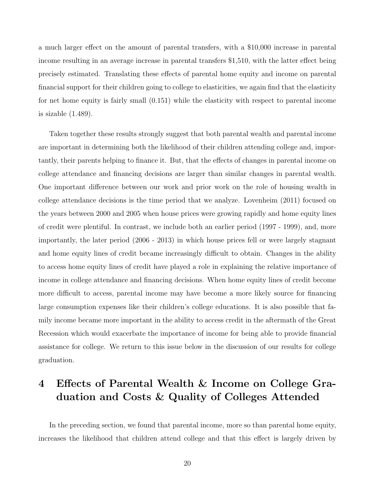a much larger effect on the amount of parental transfers, with a \$10,000 increase in parental income resulting in an average increase in parental transfers \$1,510, with the latter effect being precisely estimated. Translating these effects of parental home equity and income on parental financial support for their children going to college to elasticities, we again find that the elasticity for net home equity is fairly small (0.151) while the elasticity with respect to parental income is sizable (1.489).

Taken together these results strongly suggest that both parental wealth and parental income are important in determining both the likelihood of their children attending college and, importantly, their parents helping to finance it. But, that the effects of changes in parental income on college attendance and financing decisions are larger than similar changes in parental wealth. One important difference between our work and prior work on the role of housing wealth in college attendance decisions is the time period that we analyze. [Lovenheim](#page-34-3) [\(2011\)](#page-34-3) focused on the years between 2000 and 2005 when house prices were growing rapidly and home equity lines of credit were plentiful. In contrast, we include both an earlier period (1997 - 1999), and, more importantly, the later period (2006 - 2013) in which house prices fell or were largely stagnant and home equity lines of credit became increasingly difficult to obtain. Changes in the ability to access home equity lines of credit have played a role in explaining the relative importance of income in college attendance and financing decisions. When home equity lines of credit become more difficult to access, parental income may have become a more likely source for financing large consumption expenses like their children's college educations. It is also possible that family income became more important in the ability to access credit in the aftermath of the Great Recession which would exacerbate the importance of income for being able to provide financial assistance for college. We return to this issue below in the discussion of our results for college graduation.

# <span id="page-21-0"></span>4 Effects of Parental Wealth & Income on College Graduation and Costs & Quality of Colleges Attended

In the preceding section, we found that parental income, more so than parental home equity, increases the likelihood that children attend college and that this effect is largely driven by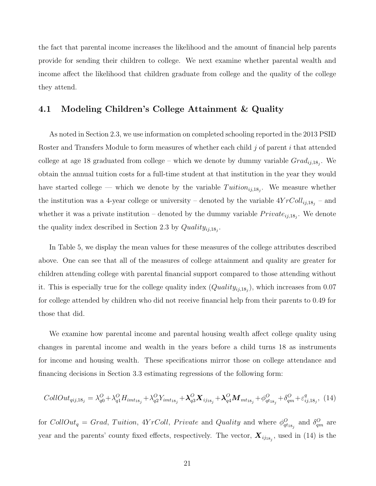the fact that parental income increases the likelihood and the amount of financial help parents provide for sending their children to college. We next examine whether parental wealth and income affect the likelihood that children graduate from college and the quality of the college they attend.

### 4.1 Modeling Children's College Attainment & Quality

As noted in Section [2.3,](#page-10-1) we use information on completed schooling reported in the 2013 PSID Roster and Transfers Module to form measures of whether each child  $j$  of parent  $i$  that attended college at age 18 graduated from college – which we denote by dummy variable  $Grad_{ij,18_j}$ . We obtain the annual tuition costs for a full-time student at that institution in the year they would have started college — which we denote by the variable  $T$ uition<sub>ij,18<sub>j</sub>. We measure whether</sub> the institution was a 4-year college or university – denoted by the variable  $4YrColl_{ij,18_j}$  – and whether it was a private institution – denoted by the dummy variable  $Private_{ij,18_j}$ . We denote the quality index described in Section [2.3](#page-10-1) by  $Quality_{ij,18_j}$ .

In Table [5,](#page-40-0) we display the mean values for these measures of the college attributes described above. One can see that all of the measures of college attainment and quality are greater for children attending college with parental financial support compared to those attending without it. This is especially true for the college quality index  $(Quality_{ij,18_j}),$  which increases from 0.07 for college attended by children who did not receive financial help from their parents to 0.49 for those that did.

We examine how parental income and parental housing wealth affect college quality using changes in parental income and wealth in the years before a child turns 18 as instruments for income and housing wealth. These specifications mirror those on college attendance and financing decisions in Section [3.3](#page-19-0) estimating regressions of the following form:

<span id="page-22-0"></span>
$$
CollOut_{qij,18_j} = \lambda_{q0}^{O} + \lambda_{q1}^{O} H_{imt_{18_j}} + \lambda_{q2}^{O} Y_{imt_{18_j}} + \lambda_{q3}^{O} X_{ij_{18_j}} + \lambda_{q4}^{O} M_{mt_{18_j}} + \phi_{qt_{18_j}}^{O} + \delta_{qm}^{O} + \varepsilon_{ij,18_j}^{q}, (14)
$$

for  $CollOut_q = Grad$ , Tuition,  $4YrColl$ , Private and Quality and where  $\phi_{qt_{18_j}}^O$  and  $\delta_{qm}^O$  are year and the parents' county fixed effects, respectively. The vector,  $X_{ij_{18_j}}$ , used in [\(14\)](#page-22-0) is the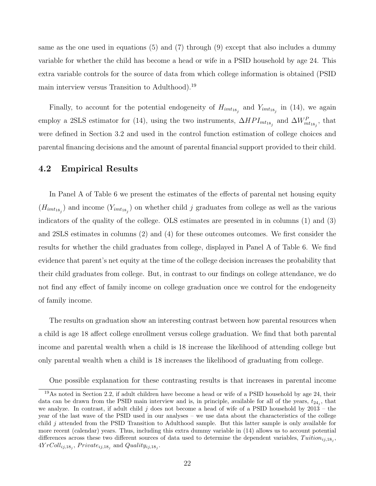same as the one used in equations [\(5\)](#page-14-0) and [\(7\)](#page-15-0) through [\(9\)](#page-16-0) except that also includes a dummy variable for whether the child has become a head or wife in a PSID household by age 24. This extra variable controls for the source of data from which college information is obtained (PSID main interview versus Transition to Adulthood).[19](#page-23-0)

Finally, to account for the potential endogeneity of  $H_{imt_{18_j}}$  and  $Y_{imt_{18_j}}$  in [\(14\)](#page-22-0), we again employ a 2SLS estimator for [\(14\)](#page-22-0), using the two instruments,  $\Delta HPI_{mt_{18_j}}$  and  $\Delta W_{mt_{18_j}}^P$ , that were defined in Section [3.2](#page-16-1) and used in the control function estimation of college choices and parental financing decisions and the amount of parental financial support provided to their child.

#### 4.2 Empirical Results

In Panel A of Table [6](#page-41-0) we present the estimates of the effects of parental net housing equity  $(H_{imt_{18_j}})$  and income  $(Y_{imt_{18_j}})$  on whether child j graduates from college as well as the various indicators of the quality of the college. OLS estimates are presented in in columns (1) and (3) and 2SLS estimates in columns (2) and (4) for these outcomes outcomes. We first consider the results for whether the child graduates from college, displayed in Panel A of Table [6.](#page-41-0) We find evidence that parent's net equity at the time of the college decision increases the probability that their child graduates from college. But, in contrast to our findings on college attendance, we do not find any effect of family income on college graduation once we control for the endogeneity of family income.

The results on graduation show an interesting contrast between how parental resources when a child is age 18 affect college enrollment versus college graduation. We find that both parental income and parental wealth when a child is 18 increase the likelihood of attending college but only parental wealth when a child is 18 increases the likelihood of graduating from college.

<span id="page-23-0"></span>One possible explanation for these contrasting results is that increases in parental income

<sup>19</sup>As noted in Section [2.2,](#page-8-3) if adult children have become a head or wife of a PSID household by age 24, their data can be drawn from the PSID main interview and is, in principle, available for all of the years,  $t_{24_j}$ , that we analyze. In contrast, if adult child j does not become a head of wife of a PSID household by  $2013 -$  the year of the last wave of the PSID used in our analyses – we use data about the characteristics of the college child j attended from the PSID Transition to Adulthood sample. But this latter sample is only available for more recent (calendar) years. Thus, including this extra dummy variable in [\(14\)](#page-22-0) allows us to account potential differences across these two different sources of data used to determine the dependent variables,  $Tution_{ij,18_j}$ ,  $4YrColl_{ij,18_j}$ ,  $Private_{ij,18_j}$  and  $Quality_{ij,18_j}$ .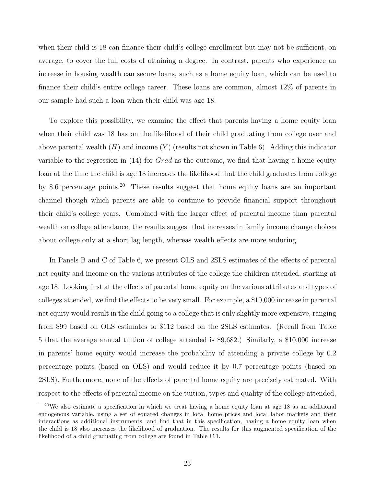when their child is 18 can finance their child's college enrollment but may not be sufficient, on average, to cover the full costs of attaining a degree. In contrast, parents who experience an increase in housing wealth can secure loans, such as a home equity loan, which can be used to finance their child's entire college career. These loans are common, almost 12% of parents in our sample had such a loan when their child was age 18.

To explore this possibility, we examine the effect that parents having a home equity loan when their child was 18 has on the likelihood of their child graduating from college over and above parental wealth  $(H)$  and income  $(Y)$  (results not shown in Table [6\)](#page-41-0). Adding this indicator variable to the regression in  $(14)$  for *Grad* as the outcome, we find that having a home equity loan at the time the child is age 18 increases the likelihood that the child graduates from college by 8.6 percentage points.<sup>[20](#page-24-0)</sup> These results suggest that home equity loans are an important channel though which parents are able to continue to provide financial support throughout their child's college years. Combined with the larger effect of parental income than parental wealth on college attendance, the results suggest that increases in family income change choices about college only at a short lag length, whereas wealth effects are more enduring.

In Panels B and C of Table [6,](#page-41-0) we present OLS and 2SLS estimates of the effects of parental net equity and income on the various attributes of the college the children attended, starting at age 18. Looking first at the effects of parental home equity on the various attributes and types of colleges attended, we find the effects to be very small. For example, a \$10,000 increase in parental net equity would result in the child going to a college that is only slightly more expensive, ranging from \$99 based on OLS estimates to \$112 based on the 2SLS estimates. (Recall from Table [5](#page-40-0) that the average annual tuition of college attended is \$9,682.) Similarly, a \$10,000 increase in parents' home equity would increase the probability of attending a private college by 0.2 percentage points (based on OLS) and would reduce it by 0.7 percentage points (based on 2SLS). Furthermore, none of the effects of parental home equity are precisely estimated. With respect to the effects of parental income on the tuition, types and quality of the college attended,

<span id="page-24-0"></span> $20$ We also estimate a specification in which we treat having a home equity loan at age 18 as an additional endogenous variable, using a set of squared changes in local home prices and local labor markets and their interactions as additional instruments, and find that in this specification, having a home equity loan when the child is 18 also increases the likelihood of graduation. The results for this augmented specification of the likelihood of a child graduating from college are found in Table [C.1.](#page-47-0)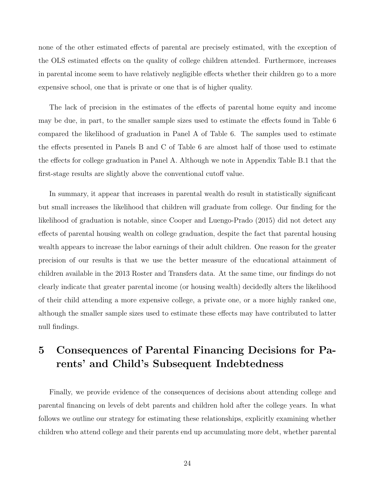none of the other estimated effects of parental are precisely estimated, with the exception of the OLS estimated effects on the quality of college children attended. Furthermore, increases in parental income seem to have relatively negligible effects whether their children go to a more expensive school, one that is private or one that is of higher quality.

The lack of precision in the estimates of the effects of parental home equity and income may be due, in part, to the smaller sample sizes used to estimate the effects found in Table [6](#page-41-0) compared the likelihood of graduation in Panel A of Table [6.](#page-41-0) The samples used to estimate the effects presented in Panels B and C of Table [6](#page-41-0) are almost half of those used to estimate the effects for college graduation in Panel A. Although we note in Appendix Table [B.1](#page-45-0) that the first-stage results are slightly above the conventional cutoff value.

In summary, it appear that increases in parental wealth do result in statistically significant but small increases the likelihood that children will graduate from college. Our finding for the likelihood of graduation is notable, since [Cooper and Luengo-Prado](#page-34-6) [\(2015\)](#page-34-6) did not detect any effects of parental housing wealth on college graduation, despite the fact that parental housing wealth appears to increase the labor earnings of their adult children. One reason for the greater precision of our results is that we use the better measure of the educational attainment of children available in the 2013 Roster and Transfers data. At the same time, our findings do not clearly indicate that greater parental income (or housing wealth) decidedly alters the likelihood of their child attending a more expensive college, a private one, or a more highly ranked one, although the smaller sample sizes used to estimate these effects may have contributed to latter null findings.

# <span id="page-25-0"></span>5 Consequences of Parental Financing Decisions for Parents' and Child's Subsequent Indebtedness

Finally, we provide evidence of the consequences of decisions about attending college and parental financing on levels of debt parents and children hold after the college years. In what follows we outline our strategy for estimating these relationships, explicitly examining whether children who attend college and their parents end up accumulating more debt, whether parental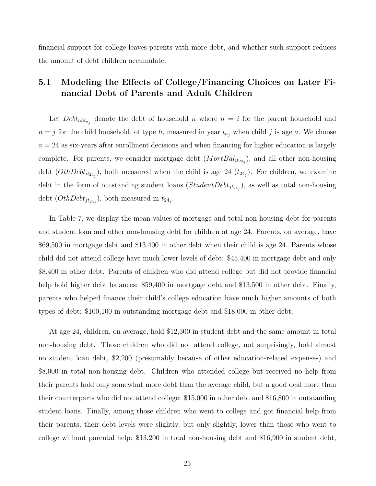financial support for college leaves parents with more debt, and whether such support reduces the amount of debt children accumulate.

## <span id="page-26-0"></span>5.1 Modeling the Effects of College/Financing Choices on Later Financial Debt of Parents and Adult Children

Let  $Debt<sub>nht<sub>a<sub>j</sub></sub></sub>$  denote the debt of household n where  $n = i$  for the parent household and  $n = j$  for the child household, of type h, measured in year  $t_{a_j}$  when child j is age a. We choose  $a = 24$  as six-years after enrollment decisions and when financing for higher education is largely complete. For parents, we consider mortgage debt  $(MortBal_{it_{24_j}})$ , and all other non-housing debt  $(OthDebt_{it_{24_j}})$ , both measured when the child is age 24  $(t_{24_j})$ . For children, we examine debt in the form of outstanding student loans  $(StudentDebt<sub>jt<sub>24<sub>j</sub></sub>)</sub>$ , as well as total non-housing debt  $(OthDebt<sub>jt<sub>24<sub>j</sub></sub>)</sub>$ , both measured in  $t_{24<sub>j</sub>}$ .

In Table [7,](#page-42-0) we display the mean values of mortgage and total non-housing debt for parents and student loan and other non-housing debt for children at age 24. Parents, on average, have \$69,500 in mortgage debt and \$13,400 in other debt when their child is age 24. Parents whose child did not attend college have much lower levels of debt: \$45,400 in mortgage debt and only \$8,400 in other debt. Parents of children who did attend college but did not provide financial help hold higher debt balances: \$59,400 in mortgage debt and \$13,500 in other debt. Finally, parents who helped finance their child's college education have much higher amounts of both types of debt: \$100,100 in outstanding mortgage debt and \$18,000 in other debt.

At age 24, children, on average, hold \$12,300 in student debt and the same amount in total non-housing debt. Those children who did not attend college, not surprisingly, hold almost no student loan debt, \$2,200 (presumably because of other education-related expenses) and \$8,000 in total non-housing debt. Children who attended college but received no help from their parents hold only somewhat more debt than the average child, but a good deal more than their counterparts who did not attend college: \$15,000 in other debt and \$16,800 in outstanding student loans. Finally, among those children who went to college and got financial help from their parents, their debt levels were slightly, but only slightly, lower than those who went to college without parental help: \$13,200 in total non-housing debt and \$16,900 in student debt,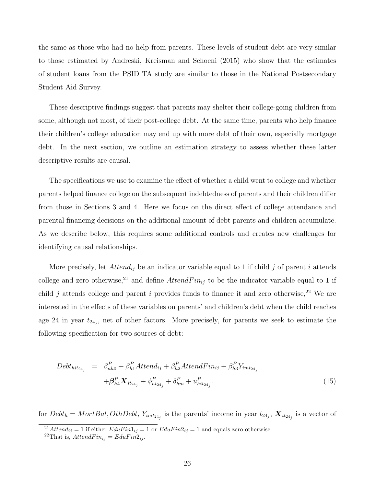the same as those who had no help from parents. These levels of student debt are very similar to those estimated by [Andreski, Kreisman and Schoeni](#page-33-12) [\(2015\)](#page-33-12) who show that the estimates of student loans from the PSID TA study are similar to those in the National Postsecondary Student Aid Survey.

These descriptive findings suggest that parents may shelter their college-going children from some, although not most, of their post-college debt. At the same time, parents who help finance their children's college education may end up with more debt of their own, especially mortgage debt. In the next section, we outline an estimation strategy to assess whether these latter descriptive results are causal.

The specifications we use to examine the effect of whether a child went to college and whether parents helped finance college on the subsequent indebtedness of parents and their children differ from those in Sections [3](#page-12-0) and [4.](#page-21-0) Here we focus on the direct effect of college attendance and parental financing decisions on the additional amount of debt parents and children accumulate. As we describe below, this requires some additional controls and creates new challenges for identifying causal relationships.

More precisely, let  $Attention_{ij}$  be an indicator variable equal to 1 if child j of parent i attends college and zero otherwise,<sup>[21](#page-27-0)</sup> and define  $Attention_{ij}$  to be the indicator variable equal to 1 if child j attends college and parent i provides funds to finance it and zero otherwise,<sup>[22](#page-27-1)</sup> We are interested in the effects of these variables on parents' and children's debt when the child reaches age 24 in year  $t_{24}$ , net of other factors. More precisely, for parents we seek to estimate the following specification for two sources of debt:

<span id="page-27-2"></span>
$$
Debt_{hit_{24_j}} = \beta_{nh0}^P + \beta_{h1}^P Attend_{ij} + \beta_{h2}^P AttendFin_{ij} + \beta_{h3}^P Y_{imt_{24_j}} + \beta_{h4}^P \mathbf{X}_{it_{24_j}} + \phi_{ht_{24_j}}^P + \delta_{hm}^P + u_{hit_{24_j}}^P.
$$
\n(15)

for  $Debt_h = MortBal, OthDebt, Y_{imt_{24_j}}$  is the parents' income in year  $t_{24_j}, X_{it_{24_j}}$  is a vector of

<span id="page-27-0"></span><sup>&</sup>lt;sup>21</sup>Attend<sub>ij</sub> = 1 if either  $EduFin1_{ij} = 1$  or  $EduFin2_{ij} = 1$  and equals zero otherwise.

<span id="page-27-1"></span><sup>&</sup>lt;sup>22</sup>That is,  $Attention_{ij} = EduFin_{ij}$ .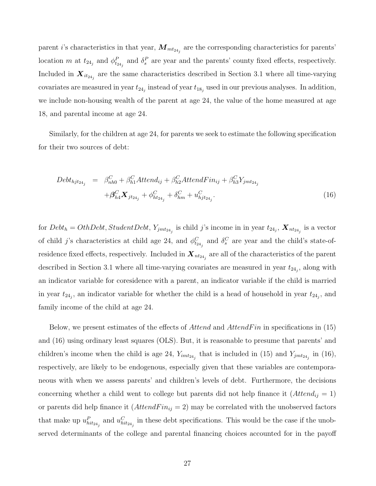parent *i*'s characteristics in that year,  $M_{mt_{24_j}}$  are the corresponding characteristics for parents' location m at  $t_{24_j}$  and  $\phi_{t_{24_j}}^P$  and  $\delta_s^P$  are year and the parents' county fixed effects, respectively. Included in  $X_{it_{24_j}}$  are the same characteristics described in Section [3.1](#page-12-1) where all time-varying covariates are measured in year  $t_{24_j}$  instead of year  $t_{18_j}$  used in our previous analyses. In addition, we include non-housing wealth of the parent at age 24, the value of the home measured at age 18, and parental income at age 24.

Similarly, for the children at age 24, for parents we seek to estimate the following specification for their two sources of debt:

<span id="page-28-0"></span>
$$
Debt_{hjt_{24_j}} = \beta_{nh0}^C + \beta_{h1}^C Attend_{ij} + \beta_{h2}^C Attend_{ij} + \beta_{h3}^C Y_{jmt_{24_j}} + \beta_{h4}^C \mathbf{X}_{jt_{24_j}} + \phi_{ht_{24_j}}^C + \delta_{hm}^C + u_{hjt_{24_j}}^C.
$$
\n(16)

for  $Debt_h = OthDebt$ ,  $StudentDebt$ ,  $Y_{jmt_{24_j}}$  is child j's income in in year  $t_{24_j}$ ,  $\boldsymbol{X}_{nt_{24_j}}$  is a vector of child j's characteristics at child age 24, and  $\phi_{t_{24_j}}^C$  and  $\delta_s^C$  are year and the child's state-ofresidence fixed effects, respectively. Included in  $\bm{X}_{nt_{24_j}}$  are all of the characteristics of the parent described in Section [3.1](#page-12-1) where all time-varying covariates are measured in year  $t_{24}$ , along with an indicator variable for coresidence with a parent, an indicator variable if the child is married in year  $t_{24j}$ , an indicator variable for whether the child is a head of household in year  $t_{24j}$ , and family income of the child at age 24.

Below, we present estimates of the effects of  $Attentioned$  and  $AttentionF$  in specifications in [\(15\)](#page-27-2) and [\(16\)](#page-28-0) using ordinary least squares (OLS). But, it is reasonable to presume that parents' and children's income when the child is age 24,  $Y_{imt_{24}j}$  that is included in [\(15\)](#page-27-2) and  $Y_{jmt_{24}j}$  in [\(16\)](#page-28-0), respectively, are likely to be endogenous, especially given that these variables are contemporaneous with when we assess parents' and children's levels of debt. Furthermore, the decisions concerning whether a child went to college but parents did not help finance it  $(Attention_{ij} = 1)$ or parents did help finance it  $(AttendFin_{ij} = 2)$  may be correlated with the unobserved factors that make up  $u_{hit_{24_j}}^P$  and  $u_{hit_{24_j}}^C$  in these debt specifications. This would be the case if the unobserved determinants of the college and parental financing choices accounted for in the payoff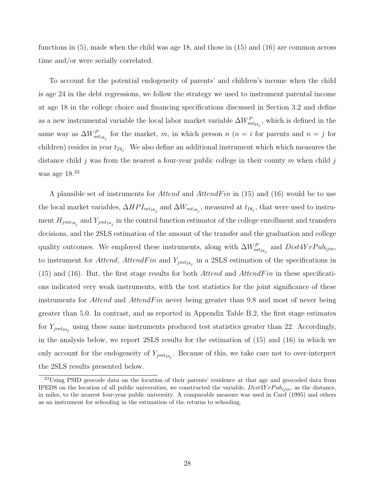functions in [\(5\)](#page-14-0), made when the child was age 18, and those in [\(15\)](#page-27-2) and [\(16\)](#page-28-0) are common across time and/or were serially correlated.

To account for the potential endogeneity of parents' and children's income when the child is age 24 in the debt regressions, we follow the strategy we used to instrument parental income at age 18 in the college choice and financing specifications discussed in Section [3.2](#page-16-1) and define as a new instrumental variable the local labor market variable  $\Delta W_{mt_{24_j}}^P$ , which is defined in the same way as  $\Delta W_{mt_{18_j}}^P$  for the market, m, in which person n (n = i for parents and n = j for children) resides in year  $t_{24}$ . We also define an additional instrument which which measures the distance child j was from the nearest a four-year public college in their county m when child j was age 18.<sup>[23](#page-29-0)</sup>

A plausible set of instruments for *Attend* and *AttendFin* in [\(15\)](#page-27-2) and [\(16\)](#page-28-0) would be to use the local market variables,  $\Delta HPI_{mt_{18_j}}$  and  $\Delta W_{mt_{18_j}}$ , measured at  $t_{18_j}$ , that were used to instrument  $H_{jmt_{18_j}}$  and  $Y_{jmt_{18_j}}$  in the control function estimator of the college enrollment and transfers decisions, and the 2SLS estimation of the amount of the transfer and the graduation and college quality outcomes. We employed these instruments, along with  $\Delta W_{mt_{24}j}^P$  and  $Dist4YrPub_{ijm}$ , to instrument for *Attend*, *AttendFin* and  $Y_{jmt_{24}j}$  in a 2SLS estimation of the specifications in  $(15)$  and  $(16)$ . But, the first stage results for both *Attend* and *AttendFin* in these specifications indicated very weak instruments, with the test statistics for the joint significance of these instruments for *Attend* and *AttendFin* never being greater than 9.8 and most of never being greater than 5.0. In contrast, and as reported in Appendix Table [B.2,](#page-46-0) the first stage estimates for  $Y_{jmt_{24}j}$  using these same instruments produced test statistics greater than 22. Accordingly, in the analysis below, we report 2SLS results for the estimation of [\(15\)](#page-27-2) and [\(16\)](#page-28-0) in which we only account for the endogeneity of  $Y_{jmt_{24_j}}$ . Because of this, we take care not to over-interpret the 2SLS results presented below.

<span id="page-29-0"></span><sup>&</sup>lt;sup>23</sup>Using PSID geocode data on the location of their parents' residence at that age and geocoded data from IPEDS on the location of all public universities, we constructed the variable,  $Dist4YrPub_{ijm}$ , as the distance, in miles, to the nearest four-year public university. A comparable measure was used in [Card](#page-34-15) [\(1995\)](#page-34-15) and others as an instrument for schooling in the estimation of the returns to schooling.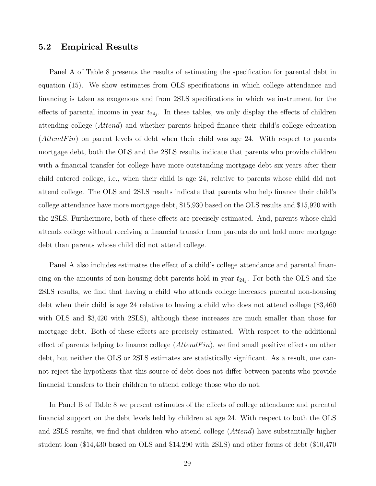### 5.2 Empirical Results

Panel A of Table [8](#page-43-0) presents the results of estimating the specification for parental debt in equation [\(15\)](#page-27-2). We show estimates from OLS specifications in which college attendance and financing is taken as exogenous and from 2SLS specifications in which we instrument for the effects of parental income in year  $t_{24j}$ . In these tables, we only display the effects of children attending college (Attend) and whether parents helped finance their child's college education (*AttendFin*) on parent levels of debt when their child was age 24. With respect to parents mortgage debt, both the OLS and the 2SLS results indicate that parents who provide children with a financial transfer for college have more outstanding mortgage debt six years after their child entered college, i.e., when their child is age 24, relative to parents whose child did not attend college. The OLS and 2SLS results indicate that parents who help finance their child's college attendance have more mortgage debt, \$15,930 based on the OLS results and \$15,920 with the 2SLS. Furthermore, both of these effects are precisely estimated. And, parents whose child attends college without receiving a financial transfer from parents do not hold more mortgage debt than parents whose child did not attend college.

Panel A also includes estimates the effect of a child's college attendance and parental financing on the amounts of non-housing debt parents hold in year  $t_{24j}$ . For both the OLS and the 2SLS results, we find that having a child who attends college increases parental non-housing debt when their child is age 24 relative to having a child who does not attend college (\$3,460 with OLS and \$3,420 with 2SLS), although these increases are much smaller than those for mortgage debt. Both of these effects are precisely estimated. With respect to the additional effect of parents helping to finance college  $(AttentionFin)$ , we find small positive effects on other debt, but neither the OLS or 2SLS estimates are statistically significant. As a result, one cannot reject the hypothesis that this source of debt does not differ between parents who provide financial transfers to their children to attend college those who do not.

In Panel B of Table [8](#page-43-0) we present estimates of the effects of college attendance and parental financial support on the debt levels held by children at age 24. With respect to both the OLS and 2SLS results, we find that children who attend college (Attend) have substantially higher student loan (\$14,430 based on OLS and \$14,290 with 2SLS) and other forms of debt (\$10,470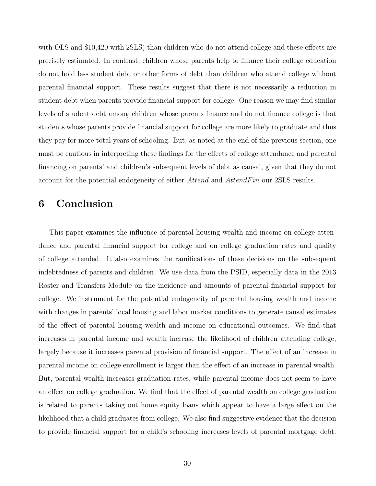with OLS and \$10,420 with 2SLS) than children who do not attend college and these effects are precisely estimated. In contrast, children whose parents help to finance their college education do not hold less student debt or other forms of debt than children who attend college without parental financial support. These results suggest that there is not necessarily a reduction in student debt when parents provide financial support for college. One reason we may find similar levels of student debt among children whose parents finance and do not finance college is that students whose parents provide financial support for college are more likely to graduate and thus they pay for more total years of schooling. But, as noted at the end of the previous section, one must be cautious in interpreting these findings for the effects of college attendance and parental financing on parents' and children's subsequent levels of debt as causal, given that they do not account for the potential endogeneity of either Attend and AttendFin our 2SLS results.

## <span id="page-31-0"></span>6 Conclusion

This paper examines the influence of parental housing wealth and income on college attendance and parental financial support for college and on college graduation rates and quality of college attended. It also examines the ramifications of these decisions on the subsequent indebtedness of parents and children. We use data from the PSID, especially data in the 2013 Roster and Transfers Module on the incidence and amounts of parental financial support for college. We instrument for the potential endogeneity of parental housing wealth and income with changes in parents' local housing and labor market conditions to generate causal estimates of the effect of parental housing wealth and income on educational outcomes. We find that increases in parental income and wealth increase the likelihood of children attending college, largely because it increases parental provision of financial support. The effect of an increase in parental income on college enrollment is larger than the effect of an increase in parental wealth. But, parental wealth increases graduation rates, while parental income does not seem to have an effect on college graduation. We find that the effect of parental wealth on college graduation is related to parents taking out home equity loans which appear to have a large effect on the likelihood that a child graduates from college. We also find suggestive evidence that the decision to provide financial support for a child's schooling increases levels of parental mortgage debt.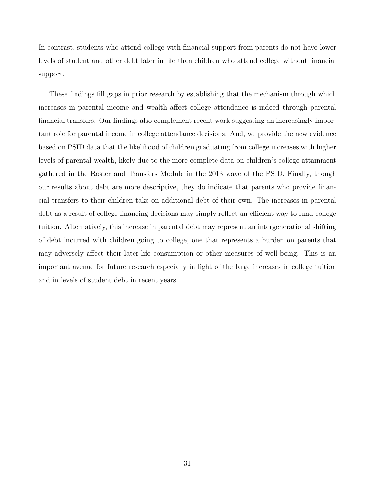In contrast, students who attend college with financial support from parents do not have lower levels of student and other debt later in life than children who attend college without financial support.

These findings fill gaps in prior research by establishing that the mechanism through which increases in parental income and wealth affect college attendance is indeed through parental financial transfers. Our findings also complement recent work suggesting an increasingly important role for parental income in college attendance decisions. And, we provide the new evidence based on PSID data that the likelihood of children graduating from college increases with higher levels of parental wealth, likely due to the more complete data on children's college attainment gathered in the Roster and Transfers Module in the 2013 wave of the PSID. Finally, though our results about debt are more descriptive, they do indicate that parents who provide financial transfers to their children take on additional debt of their own. The increases in parental debt as a result of college financing decisions may simply reflect an efficient way to fund college tuition. Alternatively, this increase in parental debt may represent an intergenerational shifting of debt incurred with children going to college, one that represents a burden on parents that may adversely affect their later-life consumption or other measures of well-being. This is an important avenue for future research especially in light of the large increases in college tuition and in levels of student debt in recent years.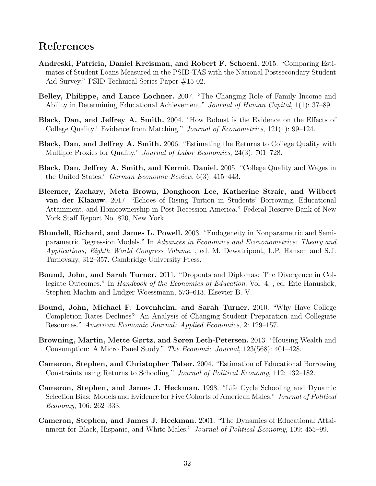# References

- <span id="page-33-12"></span>Andreski, Patricia, Daniel Kreisman, and Robert F. Schoeni. 2015. "Comparing Estimates of Student Loans Measured in the PSID-TAS with the National Postsecondary Student Aid Survey." PSID Technical Series Paper #15-02.
- <span id="page-33-3"></span>Belley, Philippe, and Lance Lochner. 2007. "The Changing Role of Family Income and Ability in Determining Educational Achievement." Journal of Human Capital, 1(1): 37–89.
- <span id="page-33-7"></span>Black, Dan, and Jeffrey A. Smith. 2004. "How Robust is the Evidence on the Effects of College Quality? Evidence from Matching." Journal of Econometrics, 121(1): 99–124.
- <span id="page-33-8"></span>Black, Dan, and Jeffrey A. Smith. 2006. "Estimating the Returns to College Quality with Multiple Proxies for Quality." *Journal of Labor Economics*, 24(3): 701–728.
- <span id="page-33-9"></span>Black, Dan, Jeffrey A. Smith, and Kermit Daniel. 2005. "College Quality and Wages in the United States." German Economic Review, 6(3): 415–443.
- <span id="page-33-4"></span>Bleemer, Zachary, Meta Brown, Donghoon Lee, Katherine Strair, and Wilbert van der Klaauw. 2017. "Echoes of Rising Tuition in Students' Borrowing, Educational Attainment, and Homeownership in Post-Recession America." Federal Reserve Bank of New York Staff Report No. 820, New York.
- <span id="page-33-11"></span>Blundell, Richard, and James L. Powell. 2003. "Endogeneity in Nonparametric and Semiparametric Regression Models." In Advances in Economics and Econonometrics: Theory and Applications, Eighth World Congress Volume. , ed. M. Dewatripont, L.P. Hansen and S.J. Turnovsky, 312–357. Cambridge University Press.
- <span id="page-33-6"></span>Bound, John, and Sarah Turner. 2011. "Dropouts and Diplomas: The Divergence in Collegiate Outcomes." In Handbook of the Economics of Education. Vol. 4, , ed. Eric Hanushek, Stephen Machin and Ludger Woessmann, 573–613. Elsevier B. V.
- <span id="page-33-5"></span>Bound, John, Michael F. Lovenheim, and Sarah Turner. 2010. "Why Have College Completion Rates Declines? An Analysis of Changing Student Preparation and Collegiate Resources." American Economic Journal: Applied Economics, 2: 129–157.
- <span id="page-33-10"></span>Browning, Martin, Mette Gørtz, and Søren Leth-Petersen. 2013. "Housing Wealth and Consumption: A Micro Panel Study." The Economic Journal, 123(568): 401–428.
- <span id="page-33-2"></span>Cameron, Stephen, and Christopher Taber. 2004. "Estimation of Educational Borrowing Constraints using Returns to Schooling." Journal of Political Economy, 112: 132–182.
- <span id="page-33-0"></span>Cameron, Stephen, and James J. Heckman. 1998. "Life Cycle Schooling and Dynamic Selection Bias: Models and Evidence for Five Cohorts of American Males." Journal of Political Economy, 106: 262–333.
- <span id="page-33-1"></span>Cameron, Stephen, and James J. Heckman. 2001. "The Dynamics of Educational Attainment for Black, Hispanic, and White Males." *Journal of Political Economy*, 109: 455–99.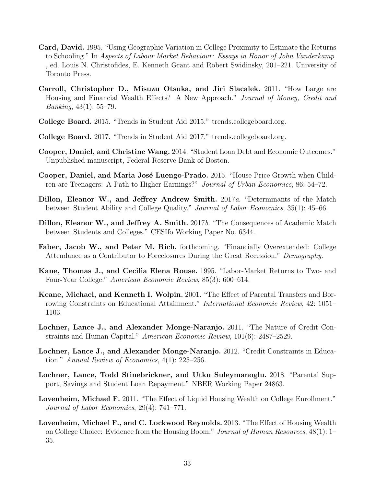- <span id="page-34-15"></span>Card, David. 1995. "Using Geographic Variation in College Proximity to Estimate the Returns to Schooling." In Aspects of Labour Market Behaviour: Essays in Honor of John Vanderkamp. , ed. Louis N. Christofides, E. Kenneth Grant and Robert Swidinsky, 201–221. University of Toronto Press.
- <span id="page-34-13"></span>Carroll, Christopher D., Misuzu Otsuka, and Jiri Slacalek. 2011. "How Large are Housing and Financial Wealth Effects? A New Approach." Journal of Money, Credit and *Banking*,  $43(1)$ : 55–79.
- <span id="page-34-10"></span>College Board. 2015. "Trends in Student Aid 2015." trends.collegeboard.org.
- <span id="page-34-5"></span>College Board. 2017. "Trends in Student Aid 2017." trends.collegeboard.org.
- <span id="page-34-7"></span>Cooper, Daniel, and Christine Wang. 2014. "Student Loan Debt and Economic Outcomes." Unpublished manuscript, Federal Reserve Bank of Boston.
- <span id="page-34-6"></span>Cooper, Daniel, and Maria José Luengo-Prado. 2015. "House Price Growth when Children are Teenagers: A Path to Higher Earnings?" Journal of Urban Economics, 86: 54–72.
- <span id="page-34-12"></span>Dillon, Eleanor W., and Jeffrey Andrew Smith. 2017a. "Determinants of the Match between Student Ability and College Quality." Journal of Labor Economics, 35(1): 45–66.
- <span id="page-34-14"></span>Dillon, Eleanor W., and Jeffrey A. Smith. 2017b. "The Consequences of Academic Match between Students and Colleges." CESIfo Working Paper No. 6344.
- <span id="page-34-9"></span>Faber, Jacob W., and Peter M. Rich. forthcoming. "Financially Overextended: College Attendance as a Contributor to Foreclosures During the Great Recession." Demography.
- <span id="page-34-11"></span>Kane, Thomas J., and Cecilia Elena Rouse. 1995. "Labor-Market Returns to Two- and Four-Year College." American Economic Review, 85(3): 600–614.
- <span id="page-34-0"></span>Keane, Michael, and Kenneth I. Wolpin. 2001. "The Effect of Parental Transfers and Borrowing Constraints on Educational Attainment." International Economic Review, 42: 1051– 1103.
- <span id="page-34-1"></span>Lochner, Lance J., and Alexander Monge-Naranjo. 2011. "The Nature of Credit Constraints and Human Capital." American Economic Review, 101(6): 2487–2529.
- <span id="page-34-2"></span>Lochner, Lance J., and Alexander Monge-Naranjo. 2012. "Credit Constraints in Education." Annual Review of Economics, 4(1): 225–256.
- <span id="page-34-8"></span>Lochner, Lance, Todd Stinebrickner, and Utku Suleymanoglu. 2018. "Parental Support, Savings and Student Loan Repayment." NBER Working Paper 24863.
- <span id="page-34-3"></span>Lovenheim, Michael F. 2011. "The Effect of Liquid Housing Wealth on College Enrollment." Journal of Labor Economics, 29(4): 741–771.
- <span id="page-34-4"></span>Lovenheim, Michael F., and C. Lockwood Reynolds. 2013. "The Effect of Housing Wealth on College Choice: Evidence from the Housing Boom." Journal of Human Resources, 48(1): 1– 35.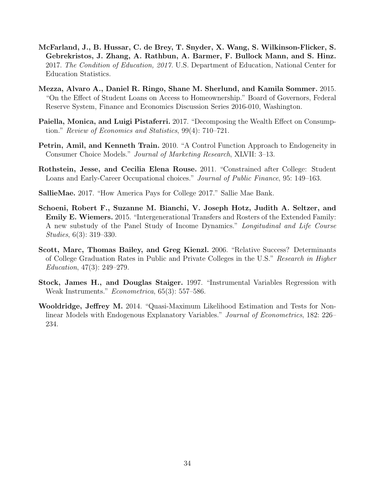- <span id="page-35-3"></span>McFarland, J., B. Hussar, C. de Brey, T. Snyder, X. Wang, S. Wilkinson-Flicker, S. Gebrekristos, J. Zhang, A. Rathbun, A. Barmer, F. Bullock Mann, and S. Hinz. 2017. The Condition of Education, 2017. U.S. Department of Education, National Center for Education Statistics.
- <span id="page-35-2"></span>Mezza, Alvaro A., Daniel R. Ringo, Shane M. Sherlund, and Kamila Sommer. 2015. "On the Effect of Student Loans on Access to Homeownership." Board of Governors, Federal Reserve System, Finance and Economics Discussion Series 2016-010, Washington.
- <span id="page-35-6"></span>Paiella, Monica, and Luigi Pistaferri. 2017. "Decomposing the Wealth Effect on Consumption." Review of Economics and Statistics, 99(4): 710–721.
- <span id="page-35-7"></span>Petrin, Amil, and Kenneth Train. 2010. "A Control Function Approach to Endogeneity in Consumer Choice Models." Journal of Marketing Research, XLVII: 3–13.
- <span id="page-35-1"></span>Rothstein, Jesse, and Cecilia Elena Rouse. 2011. "Constrained after College: Student Loans and Early-Career Occupational choices." Journal of Public Finance, 95: 149–163.
- <span id="page-35-0"></span>SallieMae. 2017. "How America Pays for College 2017." Sallie Mae Bank.
- <span id="page-35-5"></span>Schoeni, Robert F., Suzanne M. Bianchi, V. Joseph Hotz, Judith A. Seltzer, and Emily E. Wiemers. 2015. "Intergenerational Transfers and Rosters of the Extended Family: A new substudy of the Panel Study of Income Dynamics." Longitudinal and Life Course Studies, 6(3): 319–330.
- <span id="page-35-4"></span>Scott, Marc, Thomas Bailey, and Greg Kienzl. 2006. "Relative Success? Determinants of College Graduation Rates in Public and Private Colleges in the U.S." Research in Higher Education, 47(3): 249–279.
- <span id="page-35-9"></span>Stock, James H., and Douglas Staiger. 1997. "Instrumental Variables Regression with Weak Instruments." Econometrica, 65(3): 557–586.
- <span id="page-35-8"></span>Wooldridge, Jeffrey M. 2014. "Quasi-Maximum Likelihood Estimation and Tests for Nonlinear Models with Endogenous Explanatory Variables." Journal of Econometrics, 182: 226– 234.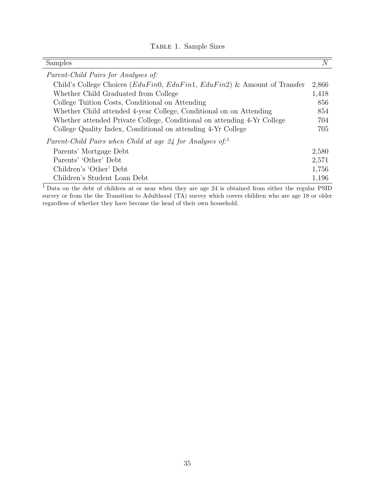## Table 1. Sample Sizes

<span id="page-36-0"></span>

| Samples                                                                         | $\,N$ |
|---------------------------------------------------------------------------------|-------|
| <i>Parent-Child Pairs for Analyses of:</i>                                      |       |
| Child's College Choices ( $EduFin$ , $EduFin$ , $EduFin$ ) & Amount of Transfer | 2,866 |
| Whether Child Graduated from College                                            | 1,418 |
| College Tuition Costs, Conditional on Attending                                 | 856   |
| Whether Child attended 4-year College, Conditional on on Attending              | 854   |
| Whether attended Private College, Conditional on attending 4-Yr College         | 704   |
| College Quality Index, Conditional on attending 4-Yr College                    | 705   |
| Parent-Child Pairs when Child at age 24 for Analyses of:                        |       |
| Parents' Mortgage Debt                                                          | 2,580 |
| Parents' 'Other' Debt                                                           | 2,571 |
| Children's 'Other' Debt                                                         | 1,756 |
| Children's Student Loan Debt                                                    | 1,196 |

<sup>1</sup>Data on the debt of children at or near when they are age 24 is obtained from either the regular PSID survey or from the the Transition to Adulthood (TA) survey which covers children who are age 18 or older regardless of whether they have become the head of their own household.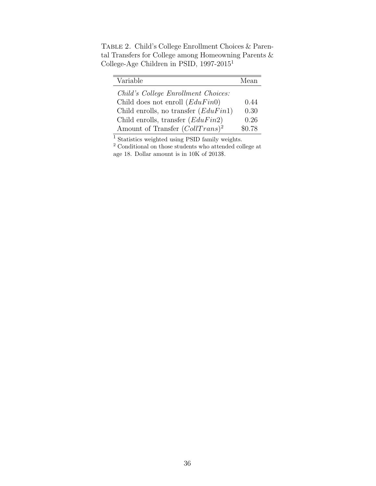<span id="page-37-0"></span>TABLE 2. Child's College Enrollment Choices & Parental Transfers for College among Homeowning Parents & College-Age Children in PSID, 1997-2015<sup>1</sup>

| Variable                               | Mean   |
|----------------------------------------|--------|
| Child's College Enrollment Choices:    |        |
| Child does not enroll $(EduFin0)$      | 0.44   |
| Child enrolls, no transfer $(EduFin1)$ | 0.30   |
| Child enrolls, transfer $(EduFin2)$    | 0.26   |
| Amount of Transfer $(CollTrans)^2$     | \$0.78 |

<sup>1</sup> Statistics weighted using PSID family weights.

<sup>2</sup> Conditional on those students who attended college at age 18. Dollar amount is in 10K of 2013\$.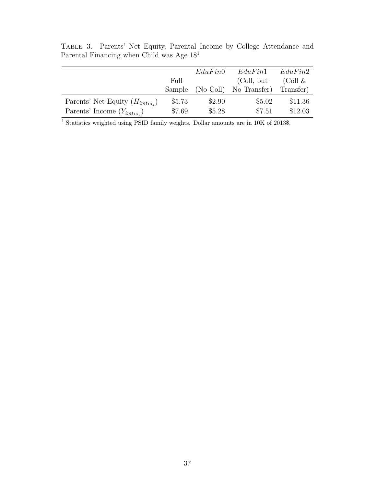<span id="page-38-0"></span>

|                                        |        | EduFin0 | EduFin1                | EduFin2    |
|----------------------------------------|--------|---------|------------------------|------------|
|                                        | Full   |         | (Coll, but             | (Coll $\&$ |
|                                        | Sample |         | (No Coll) No Transfer) | Transfer)  |
| Parents' Net Equity $(H_{imt_{18_i}})$ | \$5.73 | \$2.90  | \$5.02                 | \$11.36    |
| Parents' Income $(Y_{imt_{18_i}})$     | \$7.69 | \$5.28  | \$7.51                 | \$12.03    |

Table 3. Parents' Net Equity, Parental Income by College Attendance and Parental Financing when Child was Age  $18<sup>1</sup>$ 

<sup>1</sup> Statistics weighted using PSID family weights. Dollar amounts are in 10K of 2013\$.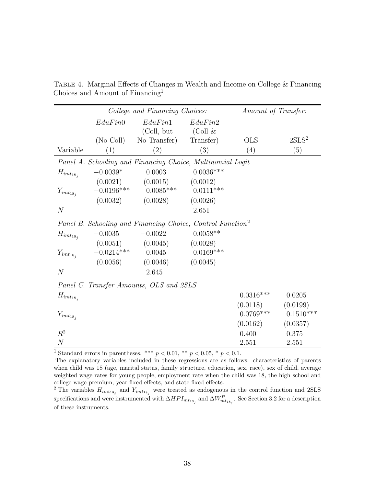<span id="page-39-0"></span>

|                  |                          | College and Financing Choices:                                         |                         | Amount of Transfer: |                   |
|------------------|--------------------------|------------------------------------------------------------------------|-------------------------|---------------------|-------------------|
|                  | EduFin0                  | EduFin1<br>(Coll, but                                                  | EduFin2<br>(Coll &      |                     |                   |
|                  | (No Coll)                | No Transfer)                                                           | Transfer)               | <b>OLS</b>          | 2SLS <sup>2</sup> |
| Variable         | (1)                      | (2)                                                                    | (3)                     | (4)                 | (5)               |
|                  |                          | Panel A. Schooling and Financing Choice, Multinomial Logit             |                         |                     |                   |
| $H_{imt_{18_i}}$ | $-0.0039*$               | 0.0003                                                                 | $0.0036***$             |                     |                   |
| $Y_{imt_{18_j}}$ | (0.0021)<br>$-0.0196***$ | (0.0015)<br>$0.0085***$                                                | (0.0012)<br>$0.0111***$ |                     |                   |
|                  | (0.0032)                 | (0.0028)                                                               | (0.0026)                |                     |                   |
| N                |                          |                                                                        | 2.651                   |                     |                   |
|                  |                          | Panel B. Schooling and Financing Choice, Control Function <sup>2</sup> |                         |                     |                   |
| $H_{imt_{18_i}}$ | $-0.0035$                | $-0.0022$                                                              | $0.0058**$              |                     |                   |
|                  | (0.0051)                 | (0.0045)                                                               | (0.0028)                |                     |                   |
| $Y_{imt_{18_i}}$ | $-0.0214***$             | 0.0045                                                                 | $0.0169***$             |                     |                   |
|                  | (0.0056)                 | (0.0046)                                                               | (0.0045)                |                     |                   |
| N                |                          | 2.645                                                                  |                         |                     |                   |
|                  |                          | Panel C. Transfer Amounts, OLS and 2SLS                                |                         |                     |                   |
| $H_{imt_{18_j}}$ |                          |                                                                        |                         | $0.0316***$         | 0.0205            |
|                  |                          |                                                                        |                         | (0.0118)            | (0.0199)          |
| $Y_{imt_{18j}}$  |                          |                                                                        |                         | $0.0769***$         | $0.1510***$       |
|                  |                          |                                                                        |                         | (0.0162)            | (0.0357)          |
| $R^2$            |                          |                                                                        |                         | 0.400               | 0.375             |
| $\overline{N}$   |                          |                                                                        |                         | 2.551               | 2.551             |

TABLE 4. Marginal Effects of Changes in Wealth and Income on College & Financing Choices and Amount of Financing<sup>1</sup>

<sup>1</sup> Standard errors in parentheses. \*\*\*  $p < 0.01$ , \*\*  $p < 0.05$ , \*  $p < 0.1$ .

The explanatory variables included in these regressions are as follows: characteristics of parents when child was 18 (age, marital status, family structure, education, sex, race), sex of child, average weighted wage rates for young people, employment rate when the child was 18, the high school and college wage premium, year fixed effects, and state fixed effects.

<sup>2</sup> The variables  $H_{imt_{18_j}}$  and  $Y_{imt_{18_j}}$  were treated as endogenous in the control function and 2SLS specifications and were instrumented with  $\Delta HPI_{mt_{18_j}}$  and  $\Delta W_{mt_{18_j}}^P$ . See Section [3.2](#page-16-1) for a description of these instruments.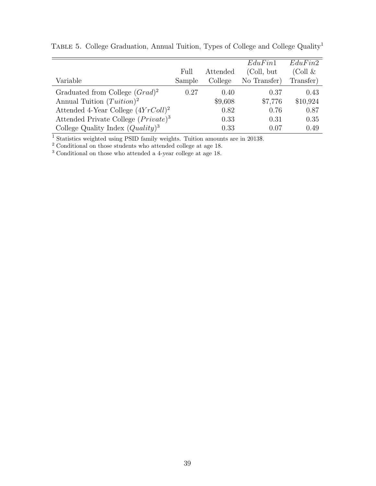<span id="page-40-0"></span>

|                                        |        |          | EduFin1      | EduFin2    |
|----------------------------------------|--------|----------|--------------|------------|
|                                        | Full   | Attended | (Coll, but   | (Coll $\&$ |
| Variable                               | Sample | College  | No Transfer) | Transfer)  |
| Graduated from College $(Grad)^2$      | 0.27   | 0.40     | 0.37         | 0.43       |
| Annual Tuition $(Tution)^2$            |        | \$9,608  | \$7,776      | \$10,924   |
| Attended 4-Year College $(4YrColl)^2$  |        | 0.82     | 0.76         | 0.87       |
| Attended Private College $(Private)^3$ |        | 0.33     | 0.31         | 0.35       |
| College Quality Index $(Quality)^3$    |        | 0.33     | 0.07         | 0.49       |

TABLE 5. College Graduation, Annual Tuition, Types of College and College Quality<sup>1</sup>

<sup>1</sup> Statistics weighted using PSID family weights. Tuition amounts are in 2013\$.

 $2$  Conditional on those students who attended college at age 18.

<sup>3</sup> Conditional on those who attended a 4-year college at age 18.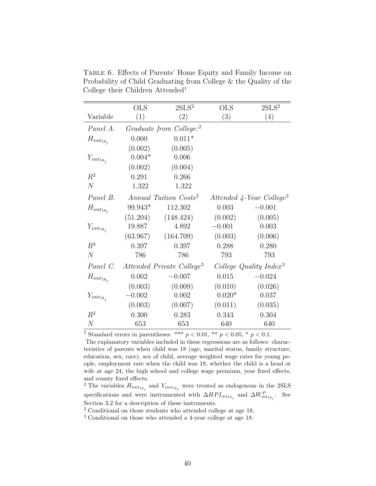<span id="page-41-0"></span>

|                  | <b>OLS</b> | 2SLS <sup>2</sup>                     | <b>OLS</b> | 2SLS <sup>2</sup>                    |
|------------------|------------|---------------------------------------|------------|--------------------------------------|
| Variable         | (1)        | (2)                                   | (3)        | (4)                                  |
| Panel A.         |            | Graduate from College: <sup>2</sup>   |            |                                      |
| $H_{imt_{18_i}}$ | 0.000      | $0.011*$                              |            |                                      |
|                  | (0.002)    | (0.005)                               |            |                                      |
| $Y_{imt_{18_i}}$ | $0.004*$   | 0.006                                 |            |                                      |
|                  | (0.002)    | (0.004)                               |            |                                      |
| $R^2$            | 0.291      | 0.266                                 |            |                                      |
| N                | 1,322      | 1,322                                 |            |                                      |
| Panel B.         |            | Annual Tuition Costs <sup>2</sup>     |            | Attended 4-Year College <sup>2</sup> |
| $H_{imt_{18_i}}$ | 99.943*    | 112.302                               | 0.003      | $-0.001$                             |
|                  | (51.204)   | (148.424)                             | (0.002)    | (0.005)                              |
| $Y_{imt_{18_i}}$ | 19.887     | 4.892                                 | $-0.001$   | 0.003                                |
|                  | (63.967)   | (164.709)                             | (0.003)    | (0.006)                              |
| $R^2$            | 0.397      | 0.397                                 | 0.288      | 0.280                                |
| $\overline{N}$   | 786        | 786                                   | 793        | 793                                  |
| Panel C.         |            | Attended Private College <sup>3</sup> |            | College Quality Index <sup>3</sup>   |
| $H_{imt_{18_i}}$ | 0.002      | $-0.007$                              | 0.015      | $-0.024$                             |
|                  | (0.003)    | (0.009)                               | (0.010)    | (0.026)                              |
| $Y_{imt_{18_i}}$ | $-0.002$   | 0.002                                 | $0.020*$   | 0.037                                |
|                  | (0.003)    | (0.007)                               | (0.011)    | (0.035)                              |
| $R^2$            | 0.300      | 0.283                                 | 0.343      | 0.304                                |
| N                | 653        | 653                                   | 640        | 640                                  |

Table 6. Effects of Parents' Home Equity and Family Income on Probability of Child Graduating from College & the Quality of the College their Children Attended<sup>1</sup>

<sup>1</sup> Standard errors in parentheses. \*\*\*  $p < 0.01$ , \*\*  $p < 0.05$ , \*  $p < 0.1$ . The explanatory variables included in these regressions are as follows: characteristics of parents when child was 18 (age, marital status, family structure, education, sex, race), sex of child, average weighted wage rates for young people, employment rate when the child was 18, whether the child is a head or wife at age 24, the high school and college wage premium, year fixed effects, and county fixed effects.

<sup>2</sup> The variables  $H_{imt_{18_j}}$  and  $Y_{imt_{18_j}}$  were treated as endogenous in the 2SLS specifications and were instrumented with  $\Delta HPI_{mt_{18_j}}$  and  $\Delta W_{mt_{18_j}}^P$ . See Section [3.2](#page-16-1) for a description of these instruments.

<sup>2</sup> Conditional on those students who attended college at age 18.

<sup>3</sup> Conditional on those who attended a 4-year college at age 18.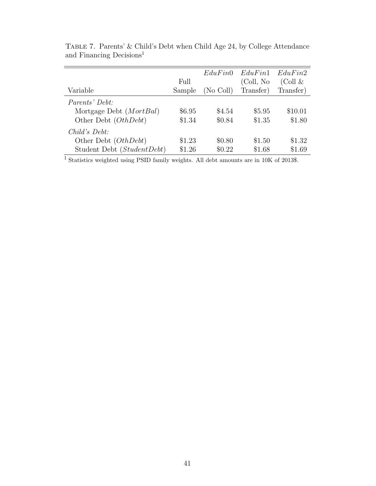<span id="page-42-0"></span>

|                            |        | EduFin0   | EduFin1    | EduFin2    |
|----------------------------|--------|-----------|------------|------------|
|                            | Full   |           | (Coll, No) | (Coll $\&$ |
| Variable                   | Sample | (No Coll) | Transfer)  | Transfer)  |
| <i>Parents' Debt:</i>      |        |           |            |            |
| Mortgage Debt $(MortBal)$  | \$6.95 | \$4.54    | \$5.95     | \$10.01    |
| Other Debt (OthDebt)       | \$1.34 | \$0.84    | \$1.35     | \$1.80     |
| $Child's\ Debt:$           |        |           |            |            |
| Other Debt (OthDebt)       | \$1.23 | \$0.80    | \$1.50     | \$1.32     |
| Student Debt (StudentDebt) | \$1.26 | \$0.22    | \$1.68     | \$1.69     |

Table 7. Parents' & Child's Debt when Child Age 24, by College Attendance and Financing Decisions<sup>1</sup>

<sup>1</sup> Statistics weighted using PSID family weights. All debt amounts are in 10K of 2013\$.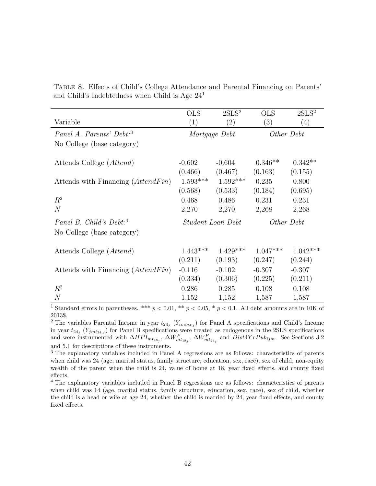|  |  | TABLE 8. Effects of Child's College Attendance and Parental Financing on Parents' |  |  |  |
|--|--|-----------------------------------------------------------------------------------|--|--|--|
|  |  | and Child's Indebtedness when Child is Age $241$                                  |  |  |  |

<span id="page-43-0"></span>

|                                      | <b>OLS</b> | 2SLS <sup>2</sup> | <b>OLS</b> | 2SLS <sup>2</sup> |
|--------------------------------------|------------|-------------------|------------|-------------------|
| Variable                             | (1)        | (2)               | (3)        | (4)               |
| Panel A. Parents' Debt: <sup>3</sup> |            | Mortgage Debt     |            | Other Debt        |
| No College (base category)           |            |                   |            |                   |
|                                      |            |                   |            |                   |
| Attends College ( <i>Attend</i> )    | $-0.602$   | $-0.604$          | $0.346**$  | $0.342**$         |
|                                      | (0.466)    | (0.467)           | (0.163)    | (0.155)           |
| Attends with Financing (AttendFin)   | $1.593***$ | $1.592***$        | 0.235      | 0.800             |
|                                      | (0.568)    | (0.533)           | (0.184)    | (0.695)           |
| $R^2$                                | 0.468      | 0.486             | 0.231      | 0.231             |
| N                                    | 2,270      | 2,270             | 2,268      | 2,268             |
| Panel B. Child's Debt: <sup>4</sup>  |            | Student Loan Debt | Other Debt |                   |
| No College (base category)           |            |                   |            |                   |
|                                      |            |                   |            |                   |
| Attends College ( <i>Attend</i> )    | $1.443***$ | $1.429***$        | $1.047***$ | $1.042***$        |
|                                      | (0.211)    | (0.193)           | (0.247)    | (0.244)           |
| Attends with Financing (AttendFin)   | $-0.116$   | $-0.102$          | $-0.307$   | $-0.307$          |
|                                      | (0.334)    | (0.306)           | (0.225)    | (0.211)           |
| $R^2$                                | 0.286      | 0.285             | 0.108      | 0.108             |
| $\overline{N}$                       | 1,152      | 1,152             | 1,587      | 1,587             |

<sup>1</sup> Standard errors in parentheses. \*\*\*  $p < 0.01$ , \*\*  $p < 0.05$ , \*  $p < 0.1$ . All debt amounts are in 10K of 2013\$.

<sup>2</sup> The variables Parental Income in year  $t_{24j}$  ( $Y_{imt_{24,j}}$ ) for Panel A specifications and Child's Income in year  $t_{24_j}$  ( $Y_{jmt_{24,j}}$ ) for Panel B specifications were treated as endogenous in the 2SLS specifications and were instrumented with  $\Delta HPI_{mt_{18_j}}$ ,  $\Delta W_{mt_{18_j}}^P$ ,  $\Delta W_{mt_{24_j}}^P$  and  $Dist4YrPub_{ijm}$ . See Sections [3.2](#page-16-1) and [5.1](#page-26-0) for descriptions of these instruments.

<sup>3</sup> The explanatory variables included in Panel A regressions are as follows: characteristics of parents when child was 24 (age, marital status, family structure, education, sex, race), sex of child, non-equity wealth of the parent when the child is 24, value of home at 18, year fixed effects, and county fixed effects.

<sup>4</sup> The explanatory variables included in Panel B regressions are as follows: characteristics of parents when child was 14 (age, marital status, family structure, education, sex, race), sex of child, whether the child is a head or wife at age 24, whether the child is married by 24, year fixed effects, and county fixed effects.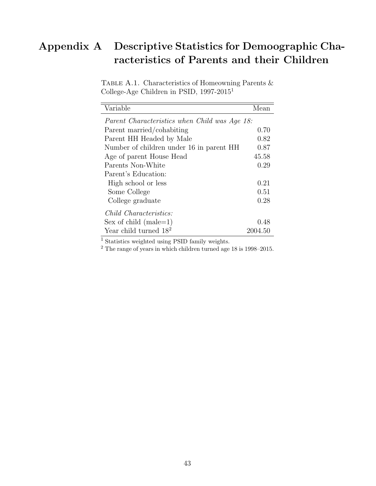# <span id="page-44-0"></span>Appendix A Descriptive Statistics for Demoographic Characteristics of Parents and their Children

| TABLE A.1. Characteristics of Homeowning Parents $\&$ |  |
|-------------------------------------------------------|--|
| College-Age Children in PSID, $1997-2015^1$           |  |

| Variable                                      | Mean    |
|-----------------------------------------------|---------|
| Parent Characteristics when Child was Age 18: |         |
| Parent married/cohabiting                     | 0.70    |
| Parent HH Headed by Male                      | 0.82    |
| Number of children under 16 in parent HH      | 0.87    |
| Age of parent House Head                      | 45.58   |
| Parents Non-White                             | 0.29    |
| Parent's Education:                           |         |
| High school or less                           | 0.21    |
| Some College                                  | 0.51    |
| College graduate                              | 0.28    |
| <i>Child Characteristics:</i>                 |         |
| Sex of child $(male=1)$                       | 0.48    |
| Year child turned $18^2$                      | 2004.50 |

<sup>1</sup> Statistics weighted using PSID family weights.

 $2$  The range of years in which children turned age 18 is 1998–2015.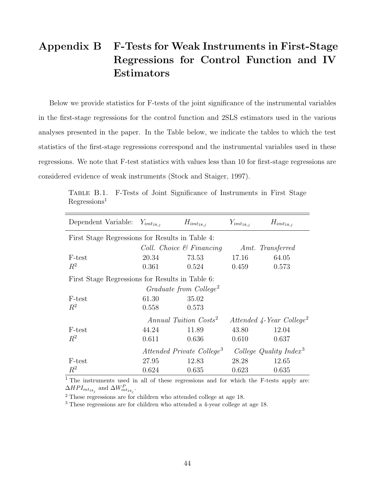# Appendix B F-Tests for Weak Instruments in First-Stage Regressions for Control Function and IV Estimators

Below we provide statistics for F-tests of the joint significance of the instrumental variables in the first-stage regressions for the control function and 2SLS estimators used in the various analyses presented in the paper. In the Table below, we indicate the tables to which the test statistics of the first-stage regressions correspond and the instrumental variables used in these regressions. We note that F-test statistics with values less than 10 for first-stage regressions are considered evidence of weak instruments [\(Stock and Staiger, 1997\)](#page-35-9).

<span id="page-45-0"></span>

| Dependent Variable:                             | $Y_{imt_{18,j}}$ | $H_{imt_{18,j}}$                      | $Y_{imt_{18,j}}$ | $H_{imt_{18,j}}$                               |  |
|-------------------------------------------------|------------------|---------------------------------------|------------------|------------------------------------------------|--|
| First Stage Regressions for Results in Table 4: |                  |                                       |                  |                                                |  |
|                                                 |                  | Coll. Choice $\mathcal C$ Financing   |                  | Amt. Transferred                               |  |
| F-test                                          | 20.34            | 73.53                                 | 17.16            | 64.05                                          |  |
| $R^2$                                           | 0.361            | 0.524                                 | 0.459            | 0.573                                          |  |
| First Stage Regressions for Results in Table 6: |                  |                                       |                  |                                                |  |
|                                                 |                  | Graduate from College <sup>2</sup>    |                  |                                                |  |
| F-test                                          | 61.30            | 35.02                                 |                  |                                                |  |
| $R^2$                                           | 0.558            | 0.573                                 |                  |                                                |  |
|                                                 |                  | Annual Tuition Costs <sup>2</sup>     |                  | Attended $\sqrt{4}$ -Year College <sup>2</sup> |  |
| F-test                                          | 44.24            | 11.89                                 | 43.80            | 12.04                                          |  |
| $R^2$                                           | 0.611            | 0.636                                 | 0.610            | 0.637                                          |  |
|                                                 |                  | Attended Private College <sup>3</sup> |                  | College Quality $Index^3$                      |  |
| F-test                                          | 27.95            | 12.83                                 | 28.28            | 12.65                                          |  |
| $R^2$                                           | 0.624            | 0.635                                 | 0.623            | 0.635                                          |  |

Table B.1. F-Tests of Joint Significance of Instruments in First Stage  $Regression<sup>1</sup>$ 

<sup>1</sup> The instruments used in all of these regressions and for which the F-tests apply are:  $\Delta HPI_{mt_{18_j}}$  and  $\Delta W_{mt_{18_j}}^P$ .

<sup>2</sup> These regressions are for children who attended college at age 18.

<sup>3</sup> These regressions are for children who attended a 4-year college at age 18.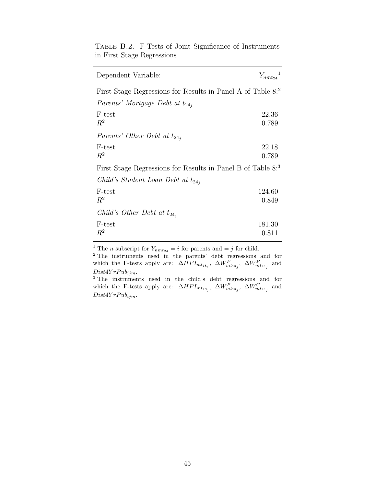<span id="page-46-0"></span>

| Dependent Variable:                                                     | $Y_{nmt_{24}}^{\quad 1}$ |
|-------------------------------------------------------------------------|--------------------------|
| First Stage Regressions for Results in Panel A of Table 8:2             |                          |
| Parents' Mortgage Debt at $t_{24}$                                      |                          |
| F-test<br>$R^2$                                                         | 22.36<br>0.789           |
| Parents' Other Debt at $t_{24}$ ,                                       |                          |
| F-test<br>$R^2$                                                         | 22.18<br>0.789           |
| First Stage Regressions for Results in Panel B of Table 8. <sup>3</sup> |                          |
| Child's Student Loan Debt at $t_{24}$ ,                                 |                          |
| F-test<br>$R^2$                                                         | 124.60<br>0.849          |
| Child's Other Debt at $t_{24}$ ,                                        |                          |
| F-test<br>$R^2$                                                         | 181.30<br>0.811          |

Table B.2. F-Tests of Joint Significance of Instruments in First Stage Regressions

<sup>1</sup> The *n* subscript for  $Y_{nmt_{24}} = i$  for parents and  $= j$  for child.

<sup>2</sup> The instruments used in the parents' debt regressions and for which the F-tests apply are:  $\Delta HPI_{mt_{18_j}}$ ,  $\Delta W_{mt_{18_j}}^P$ ,  $\Delta W_{mt_{24_j}}^P$  and  $Dist4YrPub<sub>ijm</sub>.$ <sup>3</sup> The instruments used in the child's debt regressions and for

which the F-tests apply are:  $\Delta HPI_{mt_{18_j}}$ ,  $\Delta W_{mt_{18_j}}^P$ ,  $\Delta W_{mt_{24_j}}^C$  and  $Dist4Y rPub<sub>ijm</sub>.$